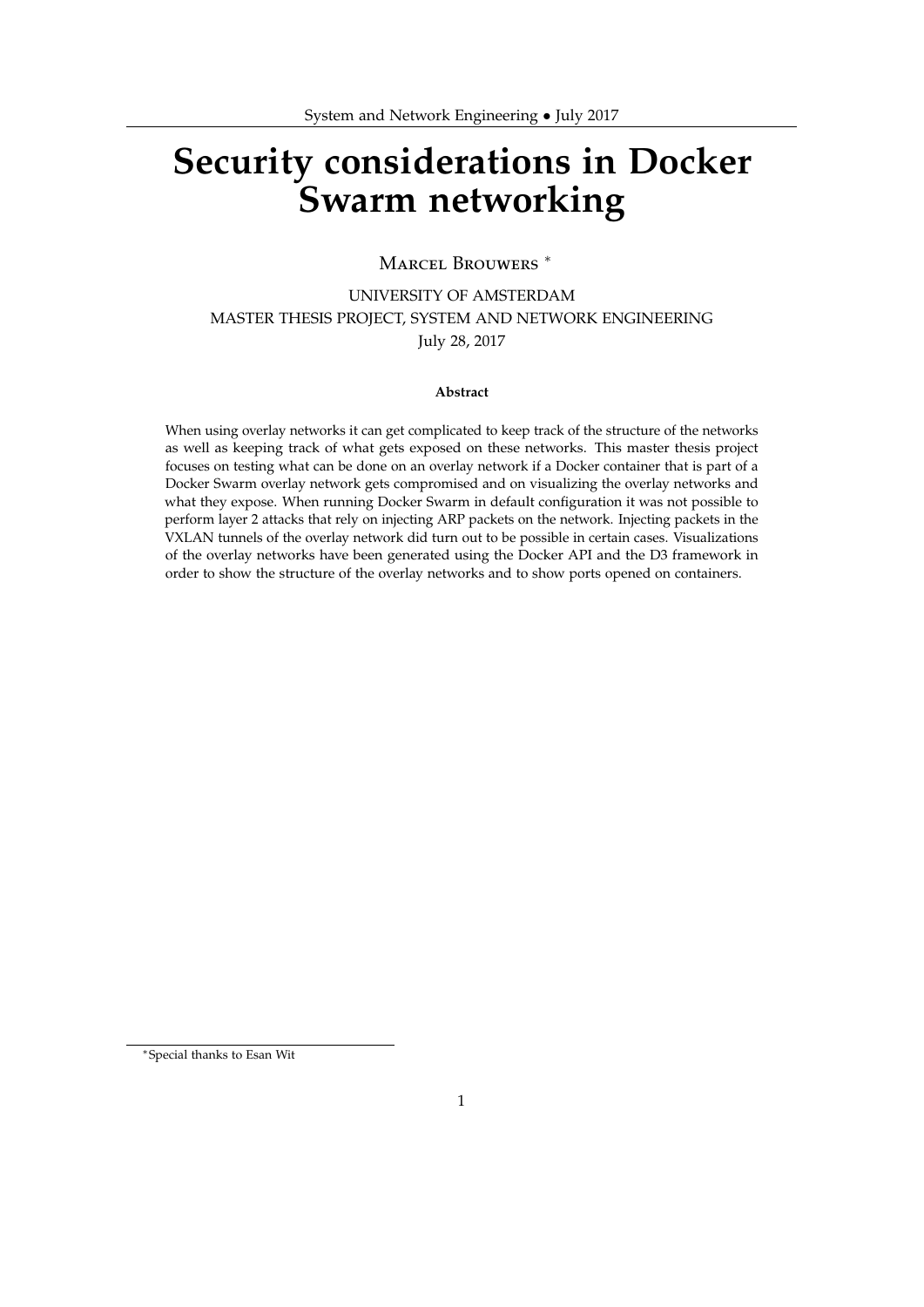# **Security considerations in Docker Swarm networking**

MARCEL BROUWERS<sup>\*</sup>

UNIVERSITY OF AMSTERDAM MASTER THESIS PROJECT, SYSTEM AND NETWORK ENGINEERING July 28, 2017

#### **Abstract**

When using overlay networks it can get complicated to keep track of the structure of the networks as well as keeping track of what gets exposed on these networks. This master thesis project focuses on testing what can be done on an overlay network if a Docker container that is part of a Docker Swarm overlay network gets compromised and on visualizing the overlay networks and what they expose. When running Docker Swarm in default configuration it was not possible to perform layer 2 attacks that rely on injecting ARP packets on the network. Injecting packets in the VXLAN tunnels of the overlay network did turn out to be possible in certain cases. Visualizations of the overlay networks have been generated using the Docker API and the D3 framework in order to show the structure of the overlay networks and to show ports opened on containers.

<sup>∗</sup>Special thanks to Esan Wit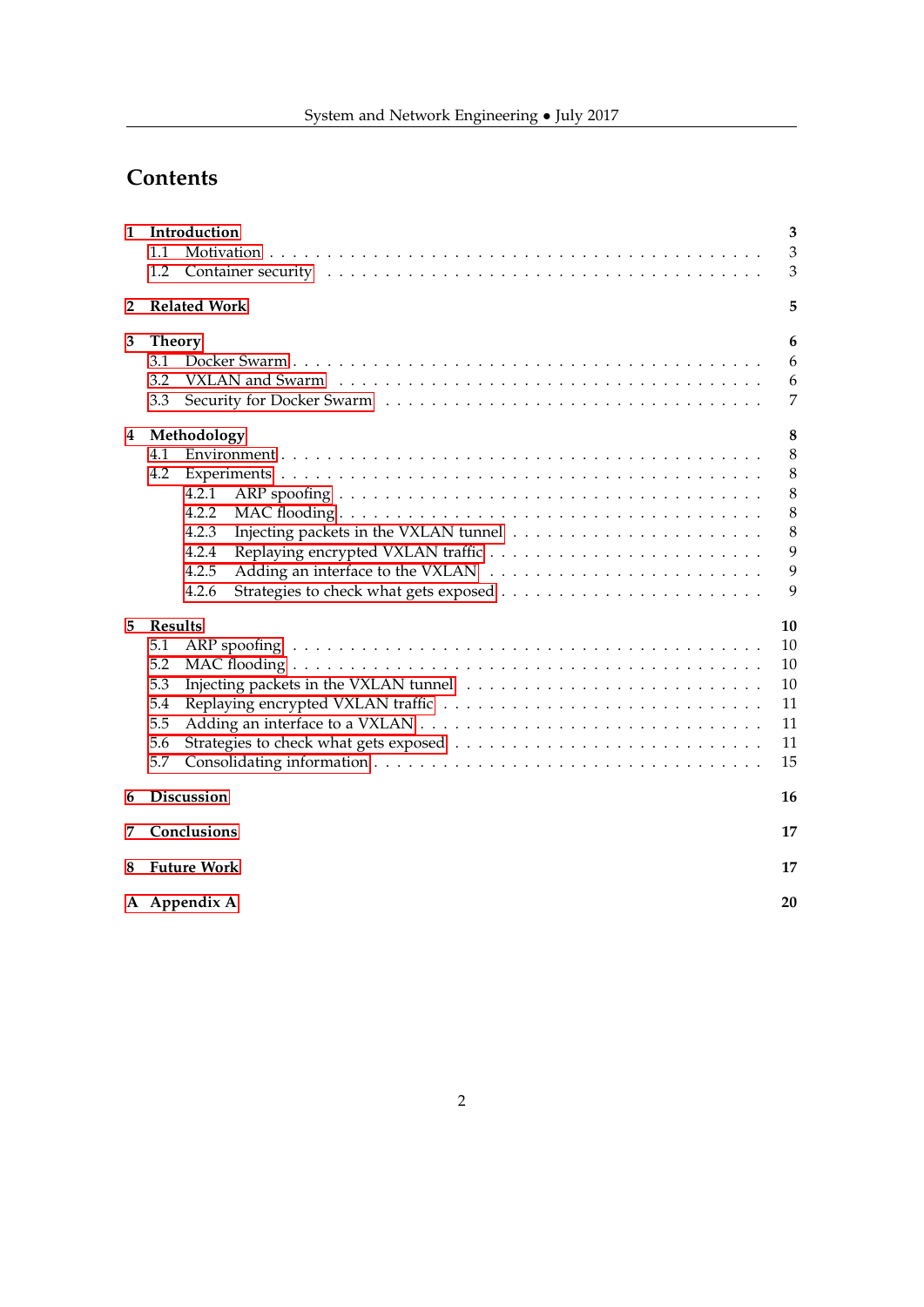# **Contents**

| 1 | Introduction<br>1.1 | 3<br>3         |
|---|---------------------|----------------|
|   | 1.2                 | 3              |
| 2 | <b>Related Work</b> | 5              |
| 3 | <b>Theory</b>       | 6              |
|   | 3.1                 | 6              |
|   | 3.2                 | 6              |
|   | 3.3                 | $\overline{7}$ |
| 4 | Methodology         | 8              |
|   | 4.1                 | 8              |
|   | 4.2                 | 8              |
|   | 4.2.1               | 8              |
|   | 4.2.2               | 8              |
|   | 4.2.3               | 8              |
|   | 4.2.4               | 9              |
|   | 4.2.5               | 9              |
|   | 4.2.6               | 9              |
| 5 | <b>Results</b>      | 10             |
|   | 5.1                 | 10             |
|   | 5.2                 | 10             |
|   | 5.3                 | 10             |
|   | 5.4                 | 11             |
|   | 5.5                 | 11             |
|   | 5.6                 | 11             |
|   | 5.7                 | 15             |
| 6 | Discussion          | 16             |
| 7 | Conclusions         | 17             |
| 8 | <b>Future Work</b>  | 17             |
|   |                     |                |
|   | A Appendix A        | 20             |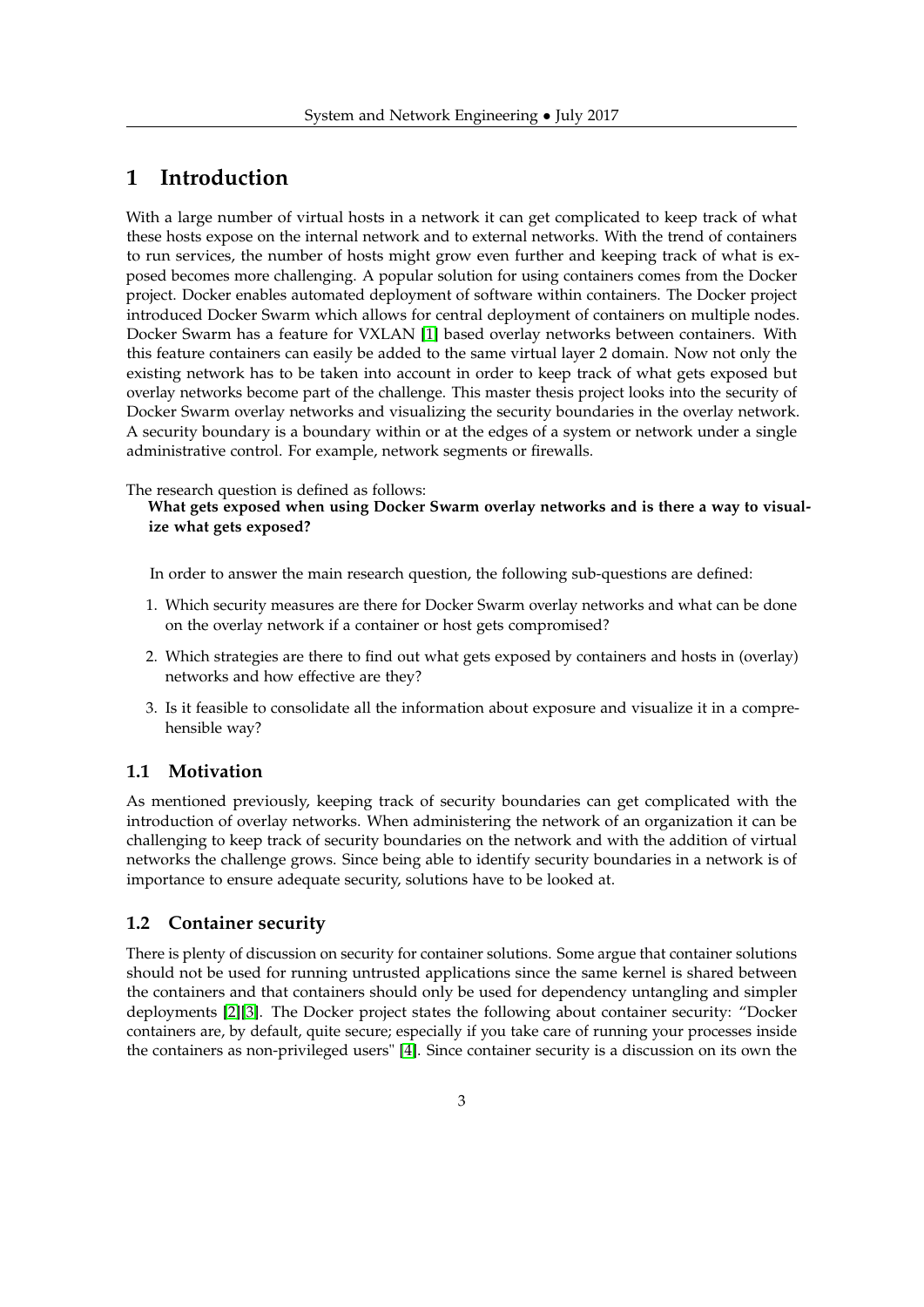# <span id="page-2-0"></span>**1 Introduction**

With a large number of virtual hosts in a network it can get complicated to keep track of what these hosts expose on the internal network and to external networks. With the trend of containers to run services, the number of hosts might grow even further and keeping track of what is exposed becomes more challenging. A popular solution for using containers comes from the Docker project. Docker enables automated deployment of software within containers. The Docker project introduced Docker Swarm which allows for central deployment of containers on multiple nodes. Docker Swarm has a feature for VXLAN [\[1\]](#page-17-0) based overlay networks between containers. With this feature containers can easily be added to the same virtual layer 2 domain. Now not only the existing network has to be taken into account in order to keep track of what gets exposed but overlay networks become part of the challenge. This master thesis project looks into the security of Docker Swarm overlay networks and visualizing the security boundaries in the overlay network. A security boundary is a boundary within or at the edges of a system or network under a single administrative control. For example, network segments or firewalls.

The research question is defined as follows:

**What gets exposed when using Docker Swarm overlay networks and is there a way to visualize what gets exposed?**

In order to answer the main research question, the following sub-questions are defined:

- 1. Which security measures are there for Docker Swarm overlay networks and what can be done on the overlay network if a container or host gets compromised?
- 2. Which strategies are there to find out what gets exposed by containers and hosts in (overlay) networks and how effective are they?
- 3. Is it feasible to consolidate all the information about exposure and visualize it in a comprehensible way?

### <span id="page-2-1"></span>**1.1 Motivation**

As mentioned previously, keeping track of security boundaries can get complicated with the introduction of overlay networks. When administering the network of an organization it can be challenging to keep track of security boundaries on the network and with the addition of virtual networks the challenge grows. Since being able to identify security boundaries in a network is of importance to ensure adequate security, solutions have to be looked at.

### <span id="page-2-2"></span>**1.2 Container security**

There is plenty of discussion on security for container solutions. Some argue that container solutions should not be used for running untrusted applications since the same kernel is shared between the containers and that containers should only be used for dependency untangling and simpler deployments [\[2\]](#page-17-1)[\[3\]](#page-17-2). The Docker project states the following about container security: "Docker containers are, by default, quite secure; especially if you take care of running your processes inside the containers as non-privileged users" [\[4\]](#page-17-3). Since container security is a discussion on its own the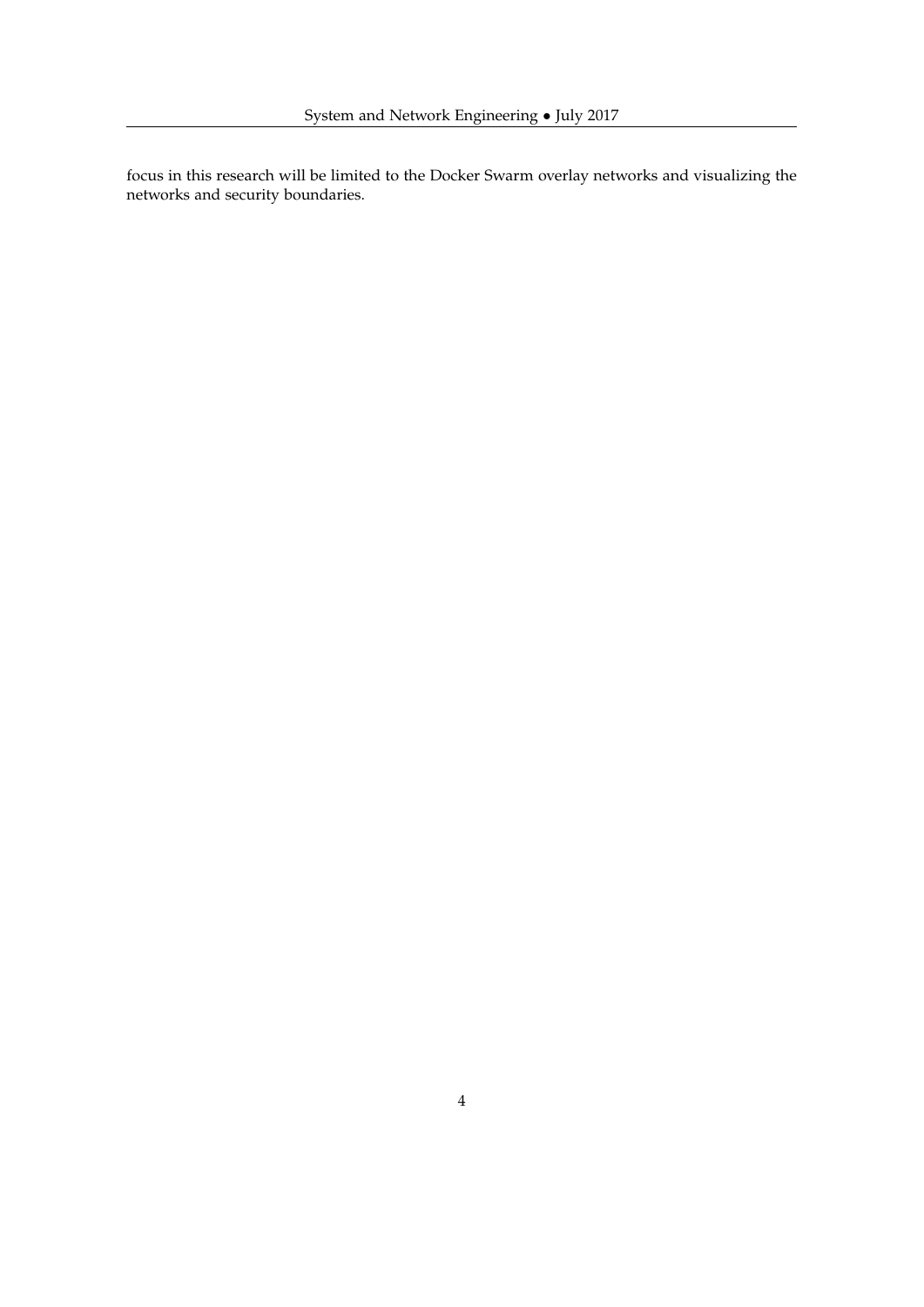focus in this research will be limited to the Docker Swarm overlay networks and visualizing the networks and security boundaries.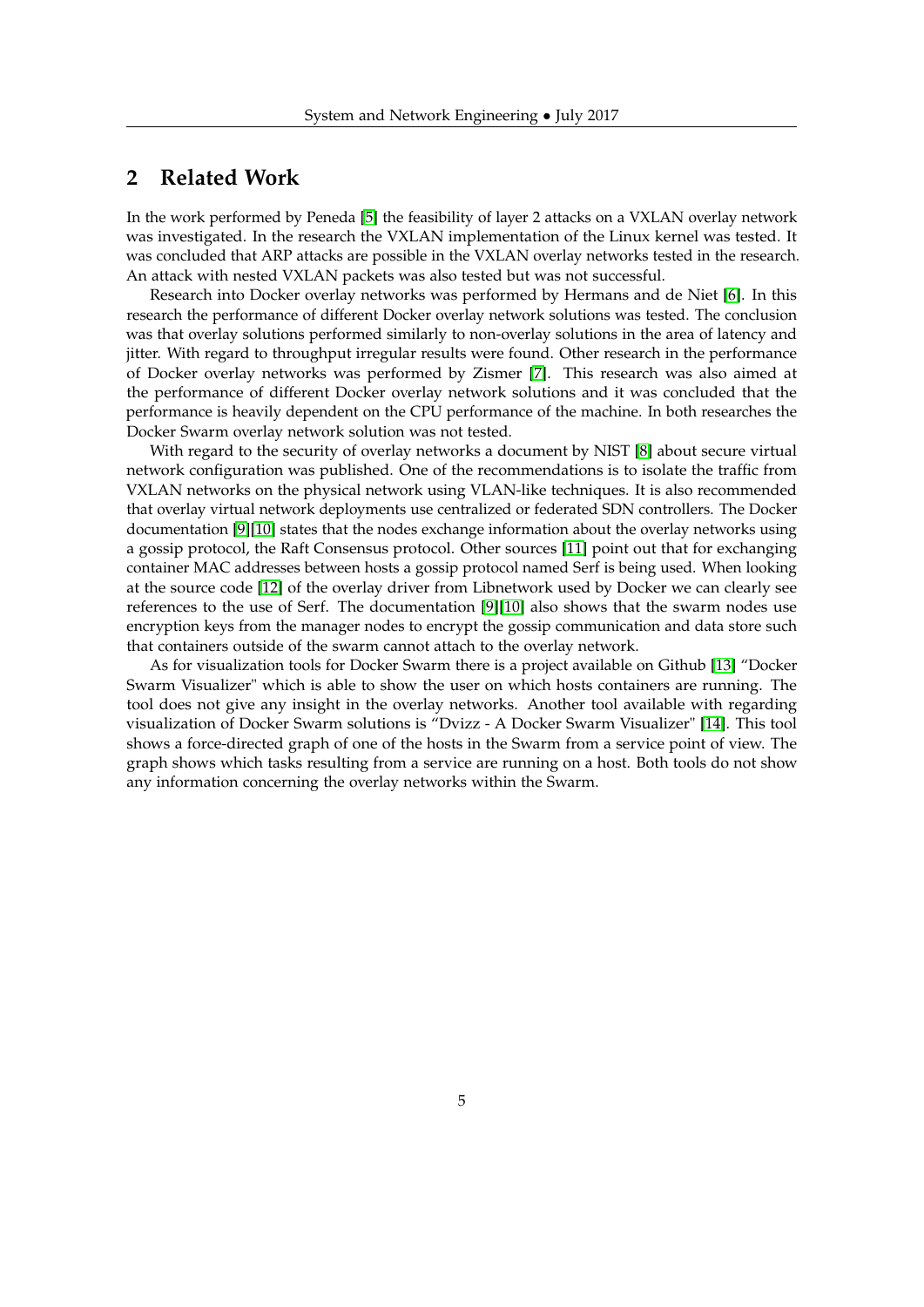# <span id="page-4-0"></span>**2 Related Work**

In the work performed by Peneda [\[5\]](#page-17-4) the feasibility of layer 2 attacks on a VXLAN overlay network was investigated. In the research the VXLAN implementation of the Linux kernel was tested. It was concluded that ARP attacks are possible in the VXLAN overlay networks tested in the research. An attack with nested VXLAN packets was also tested but was not successful.

Research into Docker overlay networks was performed by Hermans and de Niet [\[6\]](#page-17-5). In this research the performance of different Docker overlay network solutions was tested. The conclusion was that overlay solutions performed similarly to non-overlay solutions in the area of latency and jitter. With regard to throughput irregular results were found. Other research in the performance of Docker overlay networks was performed by Zismer [\[7\]](#page-17-6). This research was also aimed at the performance of different Docker overlay network solutions and it was concluded that the performance is heavily dependent on the CPU performance of the machine. In both researches the Docker Swarm overlay network solution was not tested.

With regard to the security of overlay networks a document by NIST [\[8\]](#page-17-7) about secure virtual network configuration was published. One of the recommendations is to isolate the traffic from VXLAN networks on the physical network using VLAN-like techniques. It is also recommended that overlay virtual network deployments use centralized or federated SDN controllers. The Docker documentation [\[9\]](#page-17-8)[\[10\]](#page-17-9) states that the nodes exchange information about the overlay networks using a gossip protocol, the Raft Consensus protocol. Other sources [\[11\]](#page-17-10) point out that for exchanging container MAC addresses between hosts a gossip protocol named Serf is being used. When looking at the source code [\[12\]](#page-17-11) of the overlay driver from Libnetwork used by Docker we can clearly see references to the use of Serf. The documentation [\[9\]](#page-17-8)[\[10\]](#page-17-9) also shows that the swarm nodes use encryption keys from the manager nodes to encrypt the gossip communication and data store such that containers outside of the swarm cannot attach to the overlay network.

As for visualization tools for Docker Swarm there is a project available on Github [\[13\]](#page-17-12) "Docker Swarm Visualizer" which is able to show the user on which hosts containers are running. The tool does not give any insight in the overlay networks. Another tool available with regarding visualization of Docker Swarm solutions is "Dvizz - A Docker Swarm Visualizer" [\[14\]](#page-17-13). This tool shows a force-directed graph of one of the hosts in the Swarm from a service point of view. The graph shows which tasks resulting from a service are running on a host. Both tools do not show any information concerning the overlay networks within the Swarm.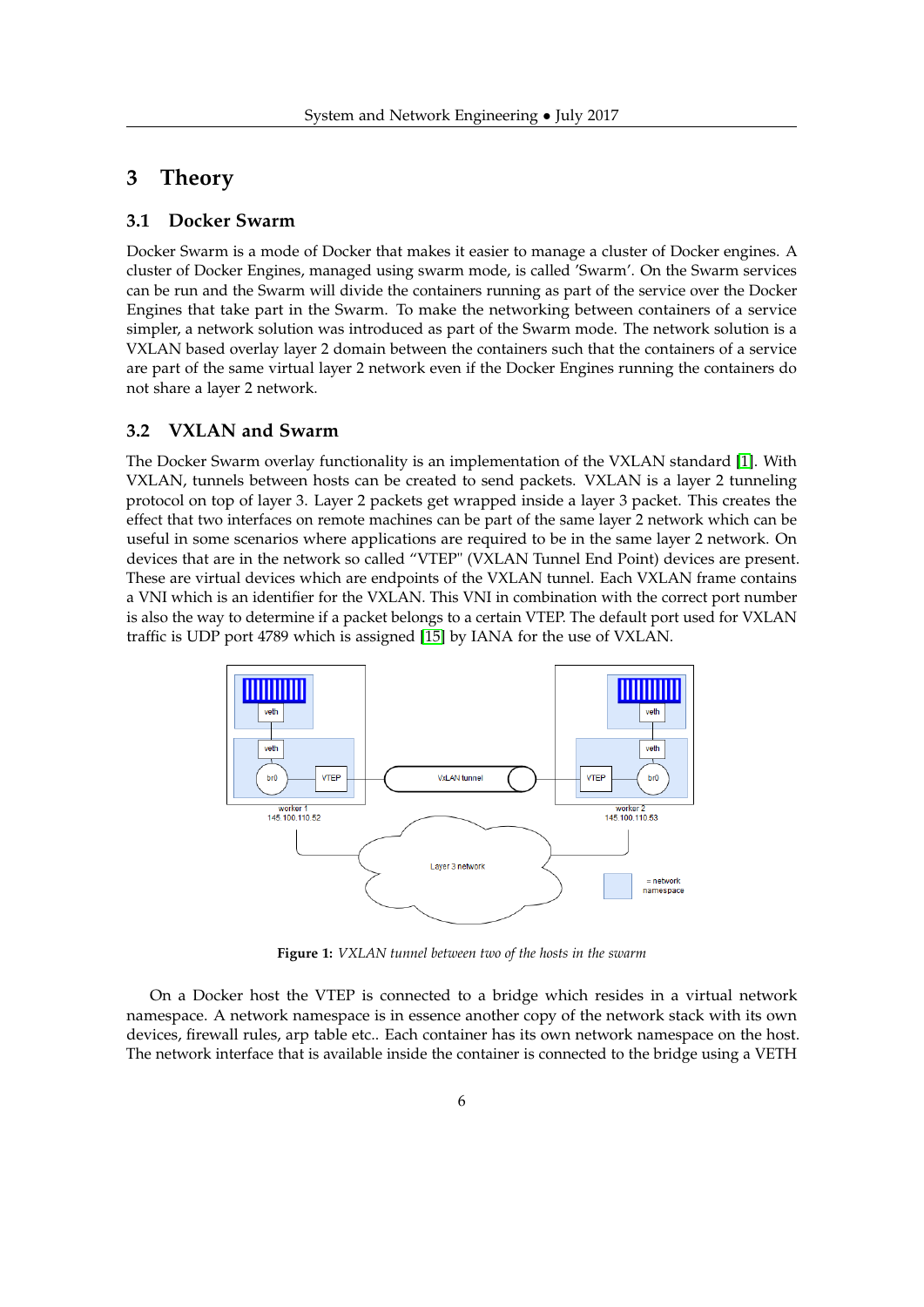# <span id="page-5-0"></span>**3 Theory**

### <span id="page-5-1"></span>**3.1 Docker Swarm**

Docker Swarm is a mode of Docker that makes it easier to manage a cluster of Docker engines. A cluster of Docker Engines, managed using swarm mode, is called 'Swarm'. On the Swarm services can be run and the Swarm will divide the containers running as part of the service over the Docker Engines that take part in the Swarm. To make the networking between containers of a service simpler, a network solution was introduced as part of the Swarm mode. The network solution is a VXLAN based overlay layer 2 domain between the containers such that the containers of a service are part of the same virtual layer 2 network even if the Docker Engines running the containers do not share a layer 2 network.

#### <span id="page-5-2"></span>**3.2 VXLAN and Swarm**

The Docker Swarm overlay functionality is an implementation of the VXLAN standard [\[1\]](#page-17-0). With VXLAN, tunnels between hosts can be created to send packets. VXLAN is a layer 2 tunneling protocol on top of layer 3. Layer 2 packets get wrapped inside a layer 3 packet. This creates the effect that two interfaces on remote machines can be part of the same layer 2 network which can be useful in some scenarios where applications are required to be in the same layer 2 network. On devices that are in the network so called "VTEP" (VXLAN Tunnel End Point) devices are present. These are virtual devices which are endpoints of the VXLAN tunnel. Each VXLAN frame contains a VNI which is an identifier for the VXLAN. This VNI in combination with the correct port number is also the way to determine if a packet belongs to a certain VTEP. The default port used for VXLAN traffic is UDP port 4789 which is assigned [\[15\]](#page-17-14) by IANA for the use of VXLAN.



**Figure 1:** *VXLAN tunnel between two of the hosts in the swarm*

On a Docker host the VTEP is connected to a bridge which resides in a virtual network namespace. A network namespace is in essence another copy of the network stack with its own devices, firewall rules, arp table etc.. Each container has its own network namespace on the host. The network interface that is available inside the container is connected to the bridge using a VETH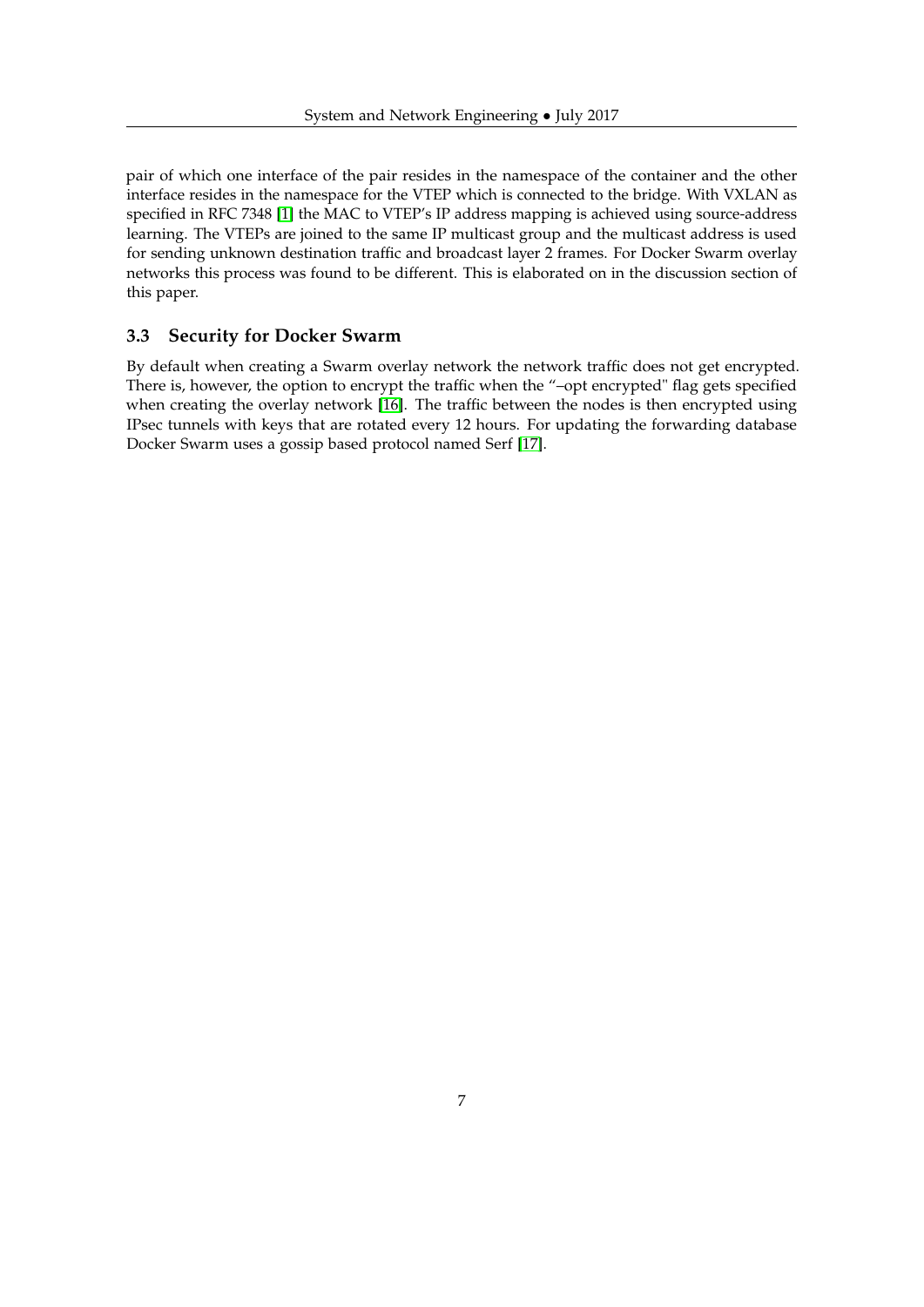pair of which one interface of the pair resides in the namespace of the container and the other interface resides in the namespace for the VTEP which is connected to the bridge. With VXLAN as specified in RFC 7348 [\[1\]](#page-17-0) the MAC to VTEP's IP address mapping is achieved using source-address learning. The VTEPs are joined to the same IP multicast group and the multicast address is used for sending unknown destination traffic and broadcast layer 2 frames. For Docker Swarm overlay networks this process was found to be different. This is elaborated on in the discussion section of this paper.

### <span id="page-6-0"></span>**3.3 Security for Docker Swarm**

By default when creating a Swarm overlay network the network traffic does not get encrypted. There is, however, the option to encrypt the traffic when the "–opt encrypted" flag gets specified when creating the overlay network [\[16\]](#page-18-0). The traffic between the nodes is then encrypted using IPsec tunnels with keys that are rotated every 12 hours. For updating the forwarding database Docker Swarm uses a gossip based protocol named Serf [\[17\]](#page-18-1).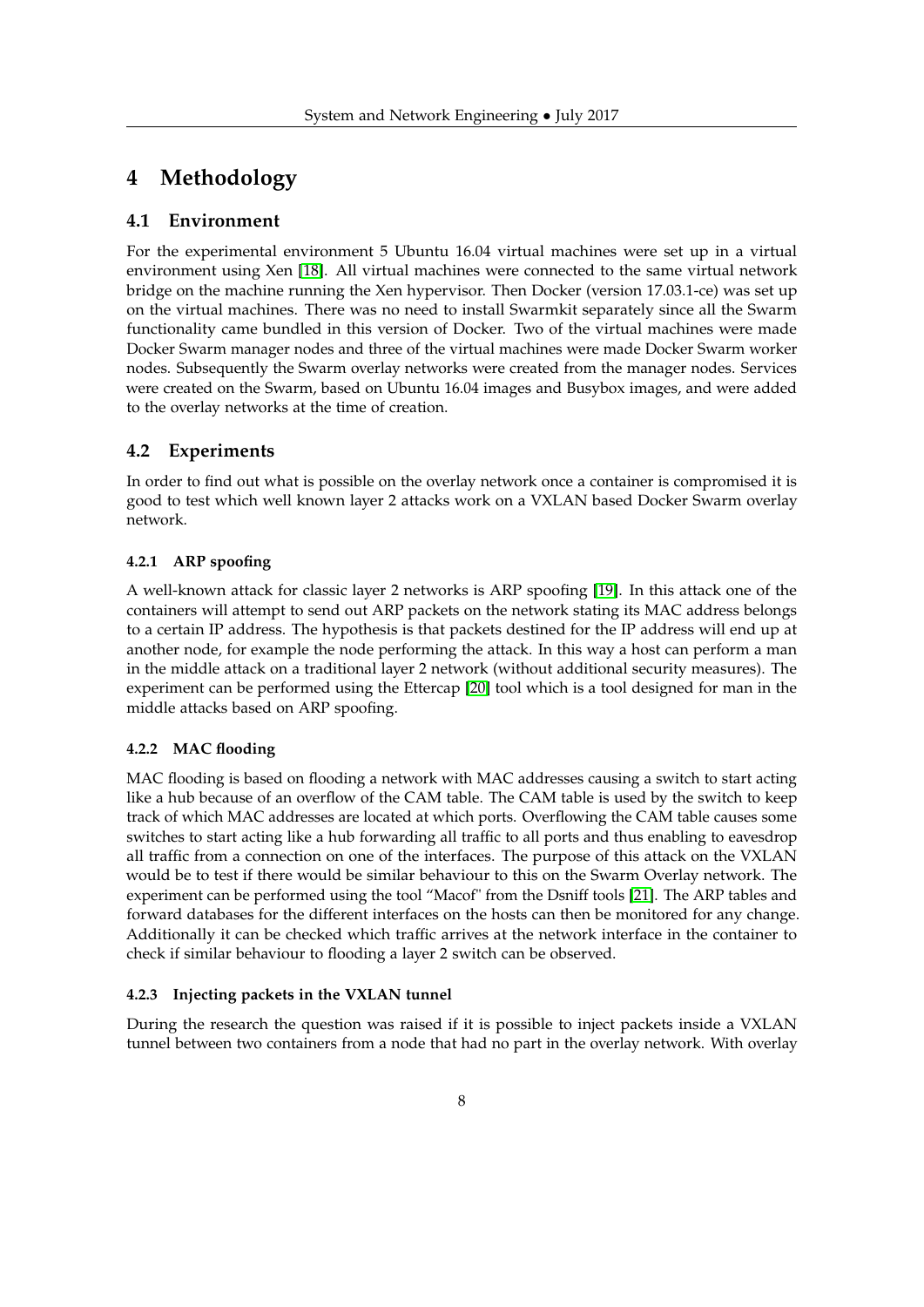# <span id="page-7-0"></span>**4 Methodology**

#### <span id="page-7-1"></span>**4.1 Environment**

For the experimental environment 5 Ubuntu 16.04 virtual machines were set up in a virtual environment using Xen [\[18\]](#page-18-2). All virtual machines were connected to the same virtual network bridge on the machine running the Xen hypervisor. Then Docker (version 17.03.1-ce) was set up on the virtual machines. There was no need to install Swarmkit separately since all the Swarm functionality came bundled in this version of Docker. Two of the virtual machines were made Docker Swarm manager nodes and three of the virtual machines were made Docker Swarm worker nodes. Subsequently the Swarm overlay networks were created from the manager nodes. Services were created on the Swarm, based on Ubuntu 16.04 images and Busybox images, and were added to the overlay networks at the time of creation.

#### <span id="page-7-2"></span>**4.2 Experiments**

In order to find out what is possible on the overlay network once a container is compromised it is good to test which well known layer 2 attacks work on a VXLAN based Docker Swarm overlay network.

#### <span id="page-7-3"></span>**4.2.1 ARP spoofing**

A well-known attack for classic layer 2 networks is ARP spoofing [\[19\]](#page-18-3). In this attack one of the containers will attempt to send out ARP packets on the network stating its MAC address belongs to a certain IP address. The hypothesis is that packets destined for the IP address will end up at another node, for example the node performing the attack. In this way a host can perform a man in the middle attack on a traditional layer 2 network (without additional security measures). The experiment can be performed using the Ettercap [\[20\]](#page-18-4) tool which is a tool designed for man in the middle attacks based on ARP spoofing.

#### <span id="page-7-4"></span>**4.2.2 MAC flooding**

MAC flooding is based on flooding a network with MAC addresses causing a switch to start acting like a hub because of an overflow of the CAM table. The CAM table is used by the switch to keep track of which MAC addresses are located at which ports. Overflowing the CAM table causes some switches to start acting like a hub forwarding all traffic to all ports and thus enabling to eavesdrop all traffic from a connection on one of the interfaces. The purpose of this attack on the VXLAN would be to test if there would be similar behaviour to this on the Swarm Overlay network. The experiment can be performed using the tool "Macof" from the Dsniff tools [\[21\]](#page-18-5). The ARP tables and forward databases for the different interfaces on the hosts can then be monitored for any change. Additionally it can be checked which traffic arrives at the network interface in the container to check if similar behaviour to flooding a layer 2 switch can be observed.

#### <span id="page-7-5"></span>**4.2.3 Injecting packets in the VXLAN tunnel**

During the research the question was raised if it is possible to inject packets inside a VXLAN tunnel between two containers from a node that had no part in the overlay network. With overlay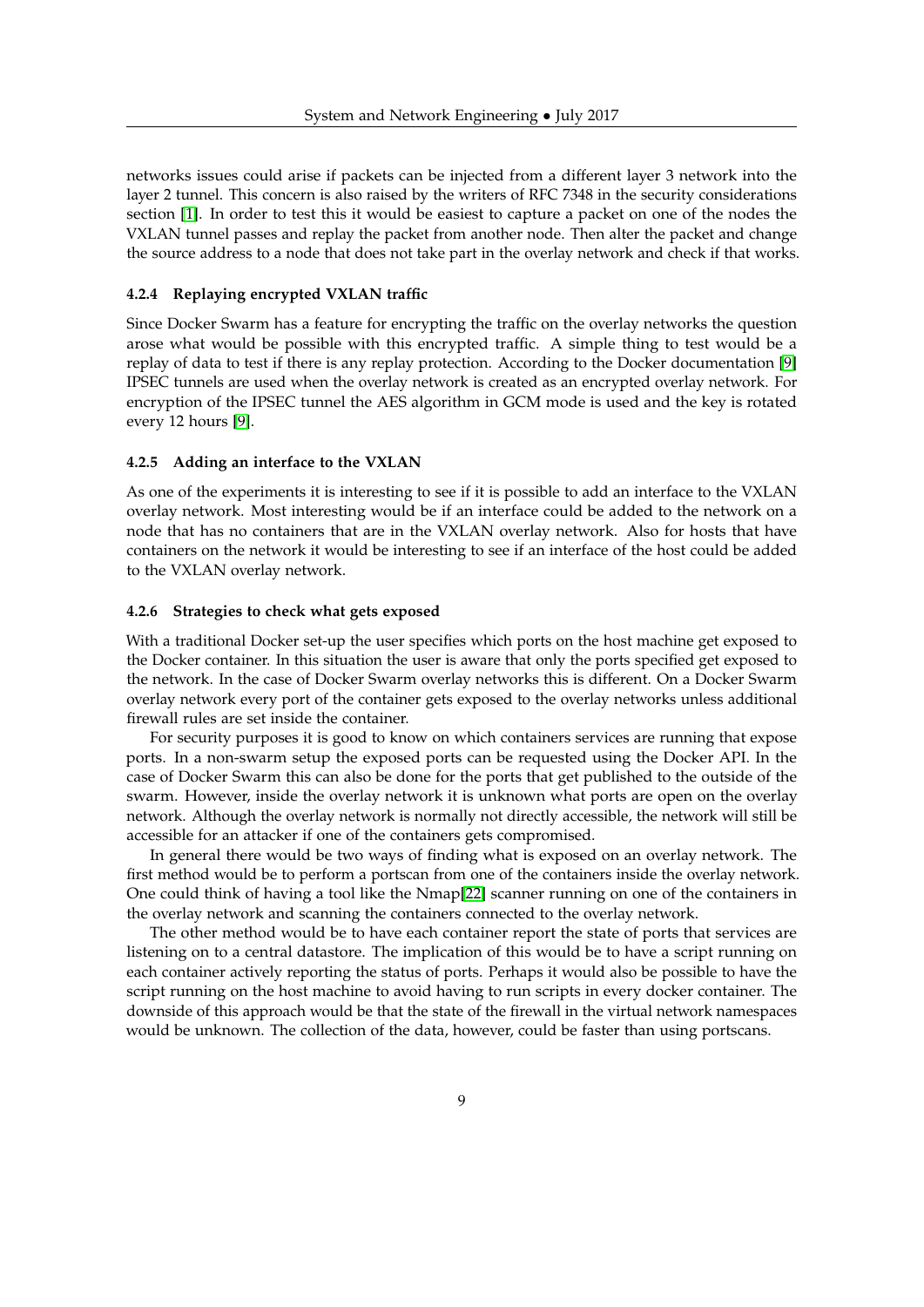networks issues could arise if packets can be injected from a different layer 3 network into the layer 2 tunnel. This concern is also raised by the writers of RFC 7348 in the security considerations section [\[1\]](#page-17-0). In order to test this it would be easiest to capture a packet on one of the nodes the VXLAN tunnel passes and replay the packet from another node. Then alter the packet and change the source address to a node that does not take part in the overlay network and check if that works.

#### <span id="page-8-0"></span>**4.2.4 Replaying encrypted VXLAN traffic**

Since Docker Swarm has a feature for encrypting the traffic on the overlay networks the question arose what would be possible with this encrypted traffic. A simple thing to test would be a replay of data to test if there is any replay protection. According to the Docker documentation [\[9\]](#page-17-8) IPSEC tunnels are used when the overlay network is created as an encrypted overlay network. For encryption of the IPSEC tunnel the AES algorithm in GCM mode is used and the key is rotated every 12 hours [\[9\]](#page-17-8).

#### <span id="page-8-1"></span>**4.2.5 Adding an interface to the VXLAN**

As one of the experiments it is interesting to see if it is possible to add an interface to the VXLAN overlay network. Most interesting would be if an interface could be added to the network on a node that has no containers that are in the VXLAN overlay network. Also for hosts that have containers on the network it would be interesting to see if an interface of the host could be added to the VXLAN overlay network.

#### <span id="page-8-2"></span>**4.2.6 Strategies to check what gets exposed**

With a traditional Docker set-up the user specifies which ports on the host machine get exposed to the Docker container. In this situation the user is aware that only the ports specified get exposed to the network. In the case of Docker Swarm overlay networks this is different. On a Docker Swarm overlay network every port of the container gets exposed to the overlay networks unless additional firewall rules are set inside the container.

For security purposes it is good to know on which containers services are running that expose ports. In a non-swarm setup the exposed ports can be requested using the Docker API. In the case of Docker Swarm this can also be done for the ports that get published to the outside of the swarm. However, inside the overlay network it is unknown what ports are open on the overlay network. Although the overlay network is normally not directly accessible, the network will still be accessible for an attacker if one of the containers gets compromised.

In general there would be two ways of finding what is exposed on an overlay network. The first method would be to perform a portscan from one of the containers inside the overlay network. One could think of having a tool like the Nmap[\[22\]](#page-18-6) scanner running on one of the containers in the overlay network and scanning the containers connected to the overlay network.

The other method would be to have each container report the state of ports that services are listening on to a central datastore. The implication of this would be to have a script running on each container actively reporting the status of ports. Perhaps it would also be possible to have the script running on the host machine to avoid having to run scripts in every docker container. The downside of this approach would be that the state of the firewall in the virtual network namespaces would be unknown. The collection of the data, however, could be faster than using portscans.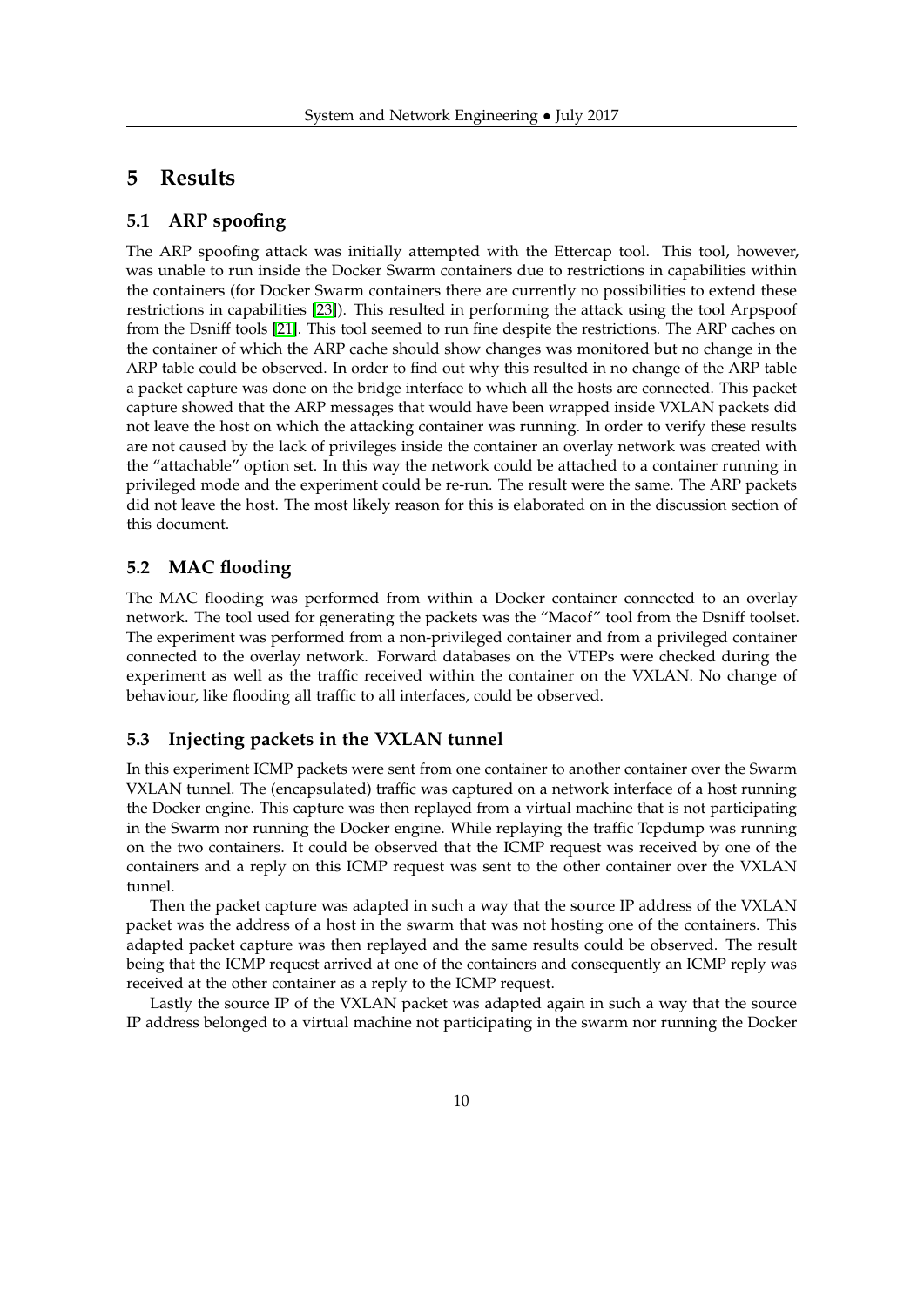# <span id="page-9-0"></span>**5 Results**

### <span id="page-9-1"></span>**5.1 ARP spoofing**

The ARP spoofing attack was initially attempted with the Ettercap tool. This tool, however, was unable to run inside the Docker Swarm containers due to restrictions in capabilities within the containers (for Docker Swarm containers there are currently no possibilities to extend these restrictions in capabilities [\[23\]](#page-18-7)). This resulted in performing the attack using the tool Arpspoof from the Dsniff tools [\[21\]](#page-18-5). This tool seemed to run fine despite the restrictions. The ARP caches on the container of which the ARP cache should show changes was monitored but no change in the ARP table could be observed. In order to find out why this resulted in no change of the ARP table a packet capture was done on the bridge interface to which all the hosts are connected. This packet capture showed that the ARP messages that would have been wrapped inside VXLAN packets did not leave the host on which the attacking container was running. In order to verify these results are not caused by the lack of privileges inside the container an overlay network was created with the "attachable" option set. In this way the network could be attached to a container running in privileged mode and the experiment could be re-run. The result were the same. The ARP packets did not leave the host. The most likely reason for this is elaborated on in the discussion section of this document.

### <span id="page-9-2"></span>**5.2 MAC flooding**

The MAC flooding was performed from within a Docker container connected to an overlay network. The tool used for generating the packets was the "Macof" tool from the Dsniff toolset. The experiment was performed from a non-privileged container and from a privileged container connected to the overlay network. Forward databases on the VTEPs were checked during the experiment as well as the traffic received within the container on the VXLAN. No change of behaviour, like flooding all traffic to all interfaces, could be observed.

### <span id="page-9-3"></span>**5.3 Injecting packets in the VXLAN tunnel**

In this experiment ICMP packets were sent from one container to another container over the Swarm VXLAN tunnel. The (encapsulated) traffic was captured on a network interface of a host running the Docker engine. This capture was then replayed from a virtual machine that is not participating in the Swarm nor running the Docker engine. While replaying the traffic Tcpdump was running on the two containers. It could be observed that the ICMP request was received by one of the containers and a reply on this ICMP request was sent to the other container over the VXLAN tunnel.

Then the packet capture was adapted in such a way that the source IP address of the VXLAN packet was the address of a host in the swarm that was not hosting one of the containers. This adapted packet capture was then replayed and the same results could be observed. The result being that the ICMP request arrived at one of the containers and consequently an ICMP reply was received at the other container as a reply to the ICMP request.

Lastly the source IP of the VXLAN packet was adapted again in such a way that the source IP address belonged to a virtual machine not participating in the swarm nor running the Docker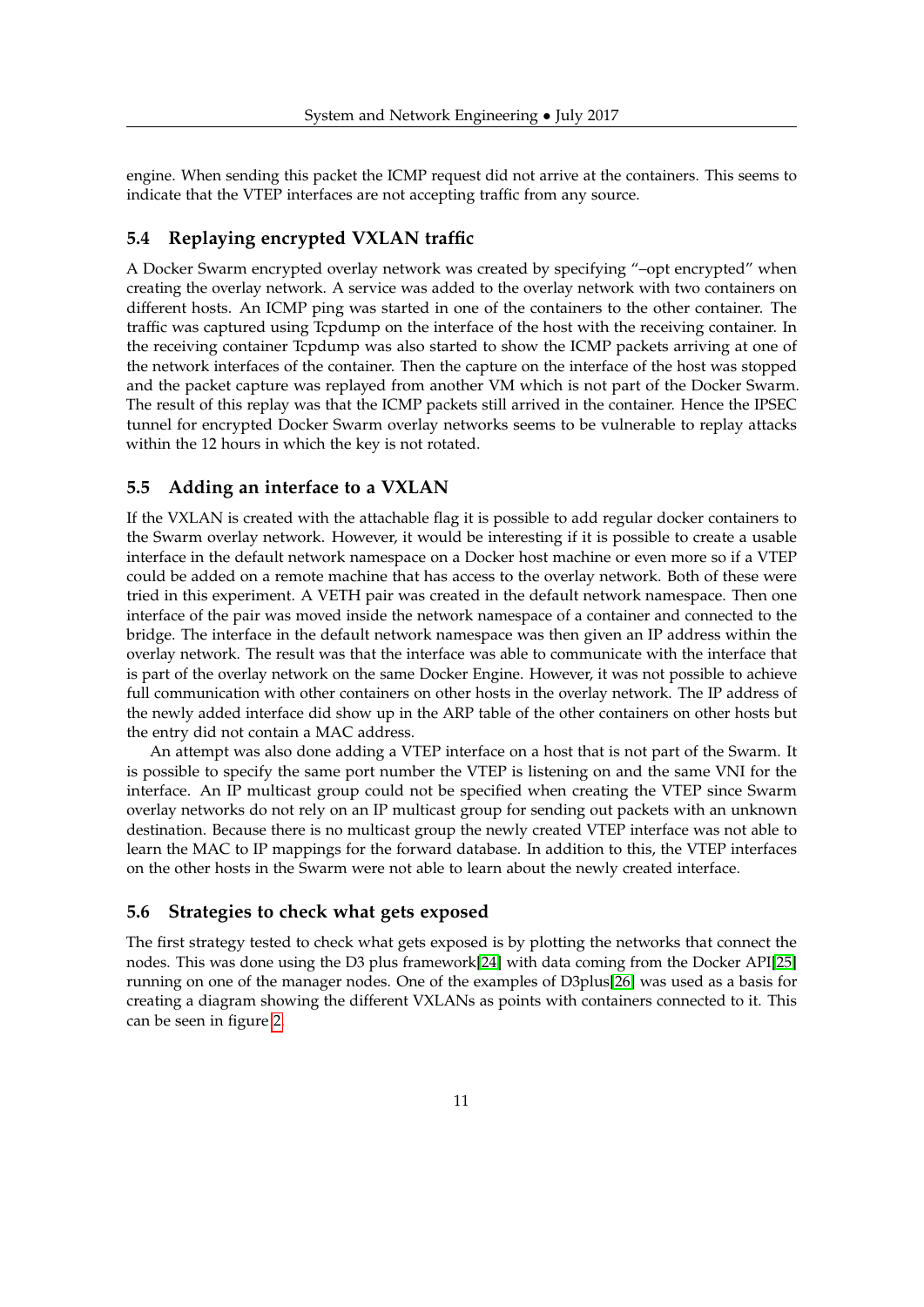engine. When sending this packet the ICMP request did not arrive at the containers. This seems to indicate that the VTEP interfaces are not accepting traffic from any source.

### <span id="page-10-0"></span>**5.4 Replaying encrypted VXLAN traffic**

A Docker Swarm encrypted overlay network was created by specifying "–opt encrypted" when creating the overlay network. A service was added to the overlay network with two containers on different hosts. An ICMP ping was started in one of the containers to the other container. The traffic was captured using Tcpdump on the interface of the host with the receiving container. In the receiving container Tcpdump was also started to show the ICMP packets arriving at one of the network interfaces of the container. Then the capture on the interface of the host was stopped and the packet capture was replayed from another VM which is not part of the Docker Swarm. The result of this replay was that the ICMP packets still arrived in the container. Hence the IPSEC tunnel for encrypted Docker Swarm overlay networks seems to be vulnerable to replay attacks within the 12 hours in which the key is not rotated.

#### <span id="page-10-1"></span>**5.5 Adding an interface to a VXLAN**

If the VXLAN is created with the attachable flag it is possible to add regular docker containers to the Swarm overlay network. However, it would be interesting if it is possible to create a usable interface in the default network namespace on a Docker host machine or even more so if a VTEP could be added on a remote machine that has access to the overlay network. Both of these were tried in this experiment. A VETH pair was created in the default network namespace. Then one interface of the pair was moved inside the network namespace of a container and connected to the bridge. The interface in the default network namespace was then given an IP address within the overlay network. The result was that the interface was able to communicate with the interface that is part of the overlay network on the same Docker Engine. However, it was not possible to achieve full communication with other containers on other hosts in the overlay network. The IP address of the newly added interface did show up in the ARP table of the other containers on other hosts but the entry did not contain a MAC address.

An attempt was also done adding a VTEP interface on a host that is not part of the Swarm. It is possible to specify the same port number the VTEP is listening on and the same VNI for the interface. An IP multicast group could not be specified when creating the VTEP since Swarm overlay networks do not rely on an IP multicast group for sending out packets with an unknown destination. Because there is no multicast group the newly created VTEP interface was not able to learn the MAC to IP mappings for the forward database. In addition to this, the VTEP interfaces on the other hosts in the Swarm were not able to learn about the newly created interface.

#### <span id="page-10-2"></span>**5.6 Strategies to check what gets exposed**

The first strategy tested to check what gets exposed is by plotting the networks that connect the nodes. This was done using the D3 plus framework[\[24\]](#page-18-8) with data coming from the Docker API[\[25\]](#page-18-9) running on one of the manager nodes. One of the examples of D3plus[\[26\]](#page-18-10) was used as a basis for creating a diagram showing the different VXLANs as points with containers connected to it. This can be seen in figure [2.](#page-11-0)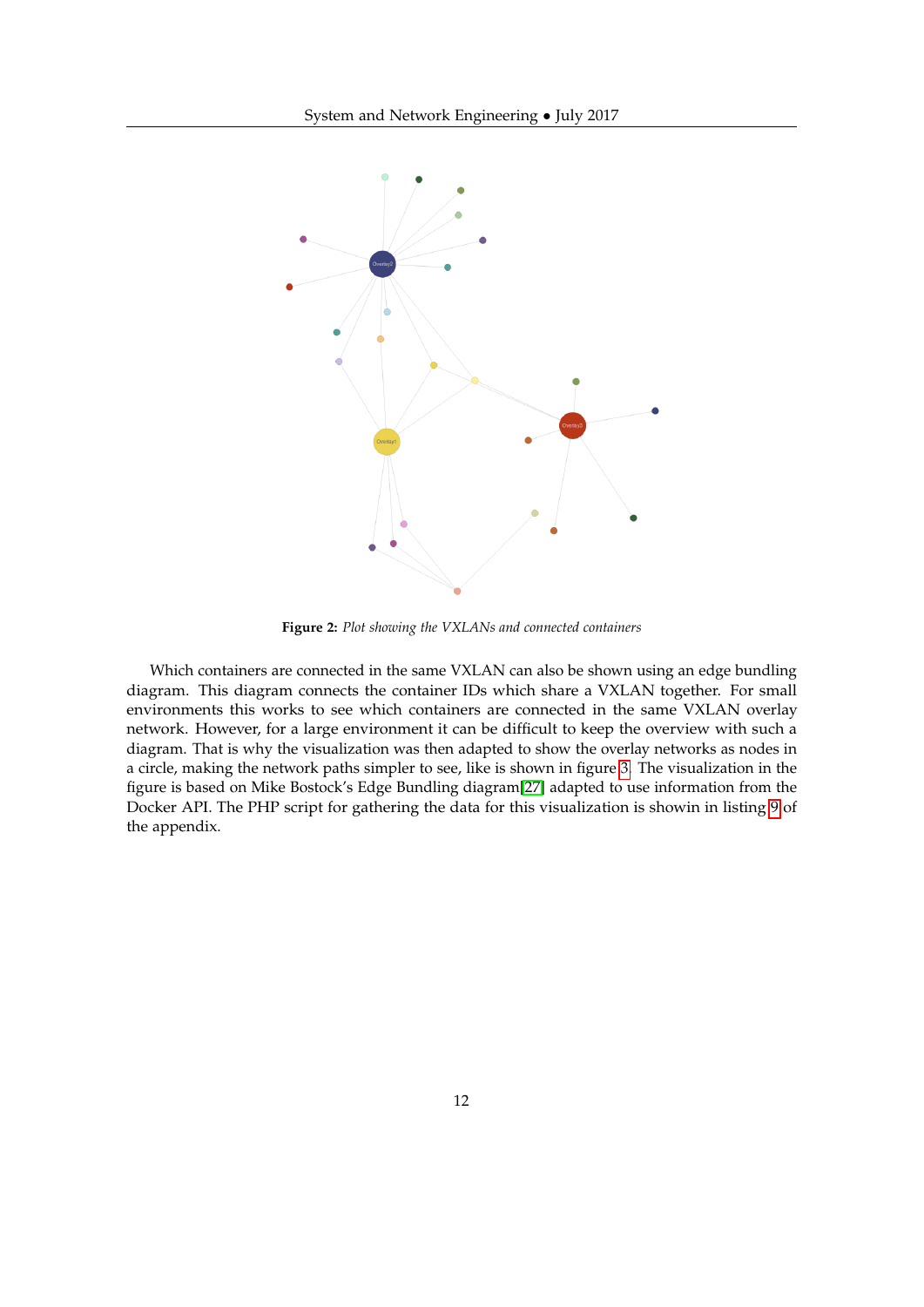<span id="page-11-0"></span>

**Figure 2:** *Plot showing the VXLANs and connected containers*

Which containers are connected in the same VXLAN can also be shown using an edge bundling diagram. This diagram connects the container IDs which share a VXLAN together. For small environments this works to see which containers are connected in the same VXLAN overlay network. However, for a large environment it can be difficult to keep the overview with such a diagram. That is why the visualization was then adapted to show the overlay networks as nodes in a circle, making the network paths simpler to see, like is shown in figure [3.](#page-12-0) The visualization in the figure is based on Mike Bostock's Edge Bundling diagram[\[27\]](#page-18-11) adapted to use information from the Docker API. The PHP script for gathering the data for this visualization is showin in listing [9](#page-27-0) of the appendix.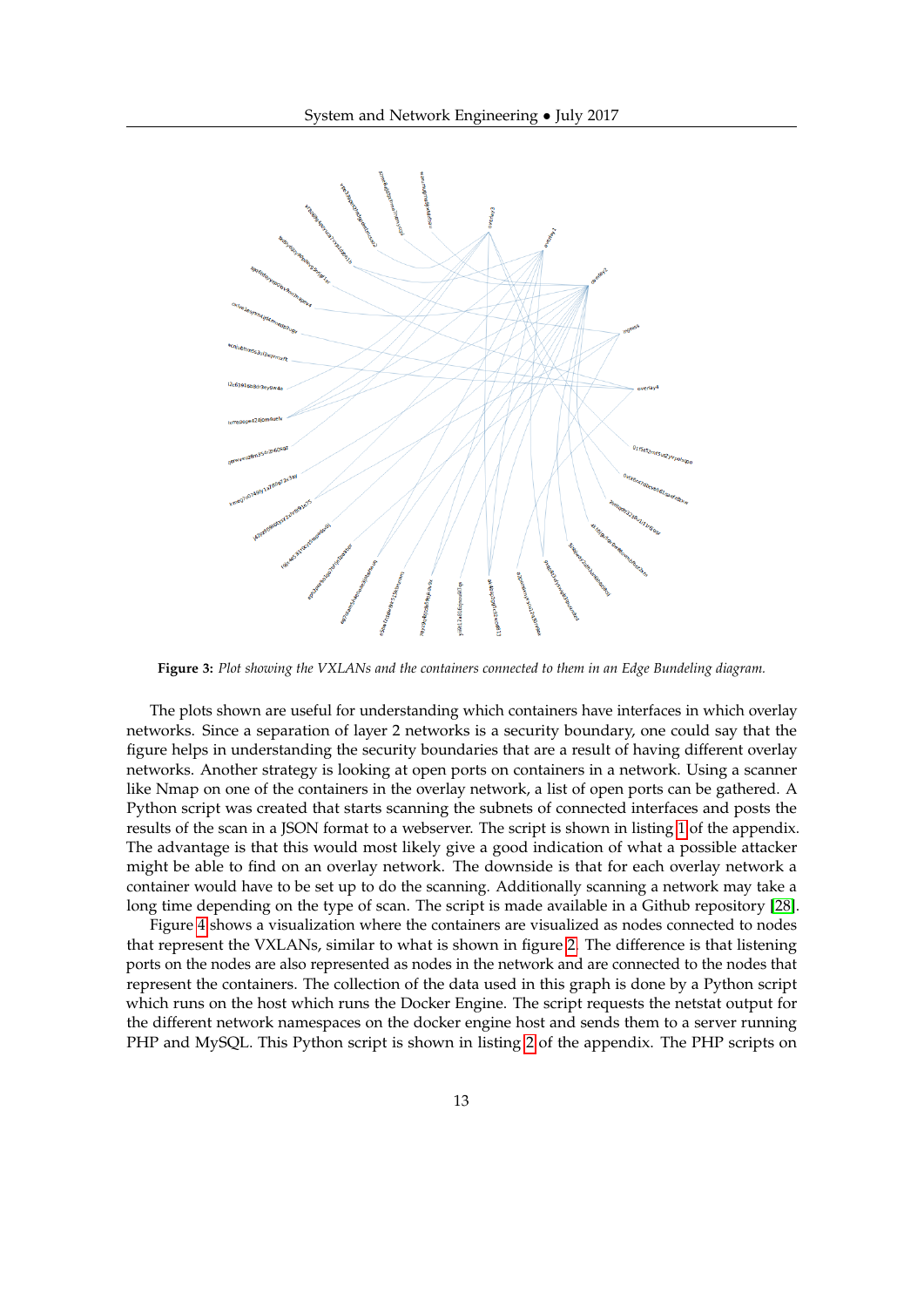<span id="page-12-0"></span>

**Figure 3:** *Plot showing the VXLANs and the containers connected to them in an Edge Bundeling diagram.*

The plots shown are useful for understanding which containers have interfaces in which overlay networks. Since a separation of layer 2 networks is a security boundary, one could say that the figure helps in understanding the security boundaries that are a result of having different overlay networks. Another strategy is looking at open ports on containers in a network. Using a scanner like Nmap on one of the containers in the overlay network, a list of open ports can be gathered. A Python script was created that starts scanning the subnets of connected interfaces and posts the results of the scan in a JSON format to a webserver. The script is shown in listing [1](#page-19-1) of the appendix. The advantage is that this would most likely give a good indication of what a possible attacker might be able to find on an overlay network. The downside is that for each overlay network a container would have to be set up to do the scanning. Additionally scanning a network may take a long time depending on the type of scan. The script is made available in a Github repository [\[28\]](#page-18-12).

Figure [4](#page-13-0) shows a visualization where the containers are visualized as nodes connected to nodes that represent the VXLANs, similar to what is shown in figure [2.](#page-11-0) The difference is that listening ports on the nodes are also represented as nodes in the network and are connected to the nodes that represent the containers. The collection of the data used in this graph is done by a Python script which runs on the host which runs the Docker Engine. The script requests the netstat output for the different network namespaces on the docker engine host and sends them to a server running PHP and MySQL. This Python script is shown in listing [2](#page-19-2) of the appendix. The PHP scripts on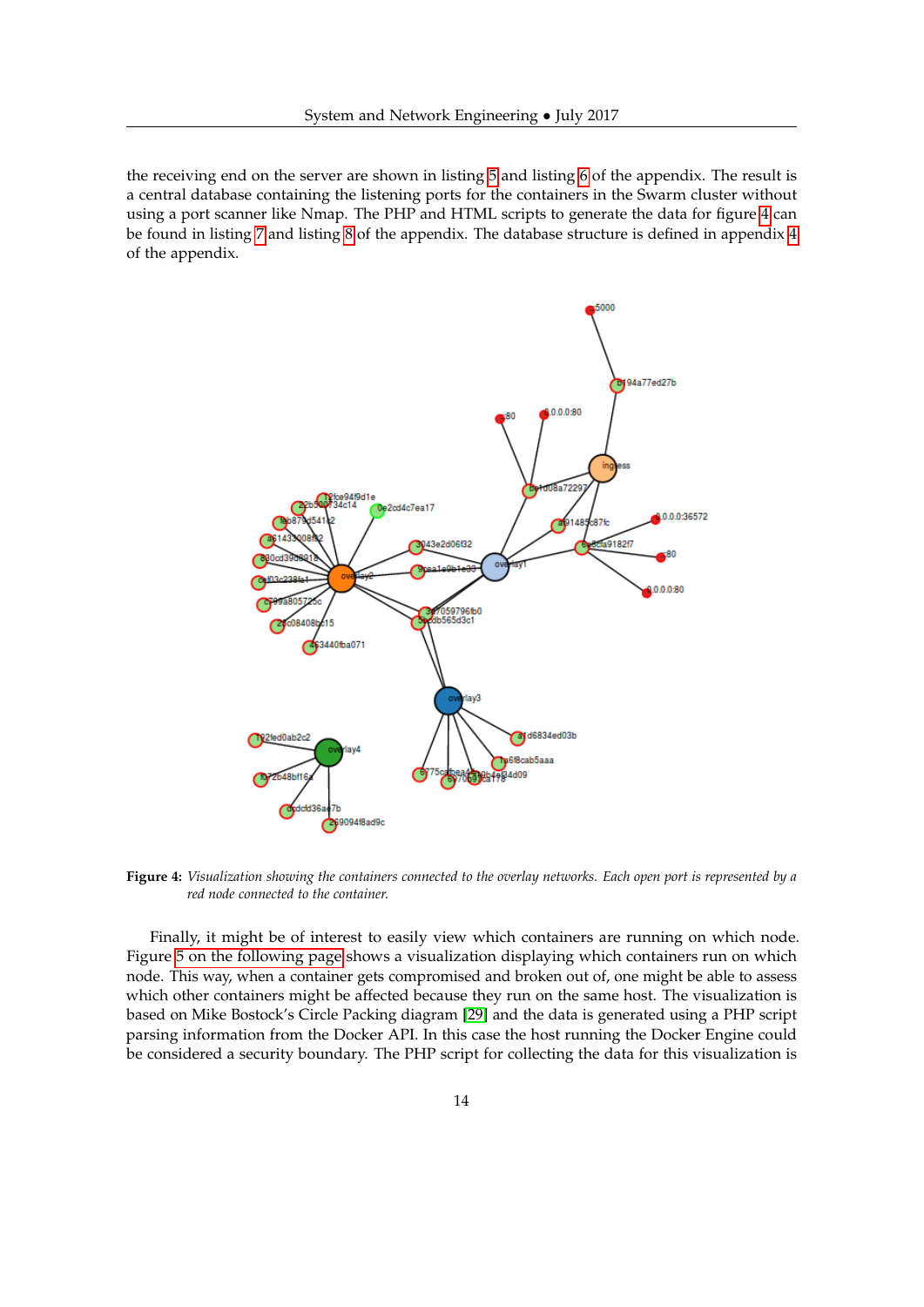the receiving end on the server are shown in listing [5](#page-22-0) and listing [6](#page-22-1) of the appendix. The result is a central database containing the listening ports for the containers in the Swarm cluster without using a port scanner like Nmap. The PHP and HTML scripts to generate the data for figure [4](#page-13-0) can be found in listing [7](#page-22-2) and listing [8](#page-24-0) of the appendix. The database structure is defined in appendix [4](#page-21-0) of the appendix.

<span id="page-13-0"></span>

**Figure 4:** *Visualization showing the containers connected to the overlay networks. Each open port is represented by a red node connected to the container.*

Finally, it might be of interest to easily view which containers are running on which node. Figure [5 on the following page](#page-14-1) shows a visualization displaying which containers run on which node. This way, when a container gets compromised and broken out of, one might be able to assess which other containers might be affected because they run on the same host. The visualization is based on Mike Bostock's Circle Packing diagram [\[29\]](#page-18-13) and the data is generated using a PHP script parsing information from the Docker API. In this case the host running the Docker Engine could be considered a security boundary. The PHP script for collecting the data for this visualization is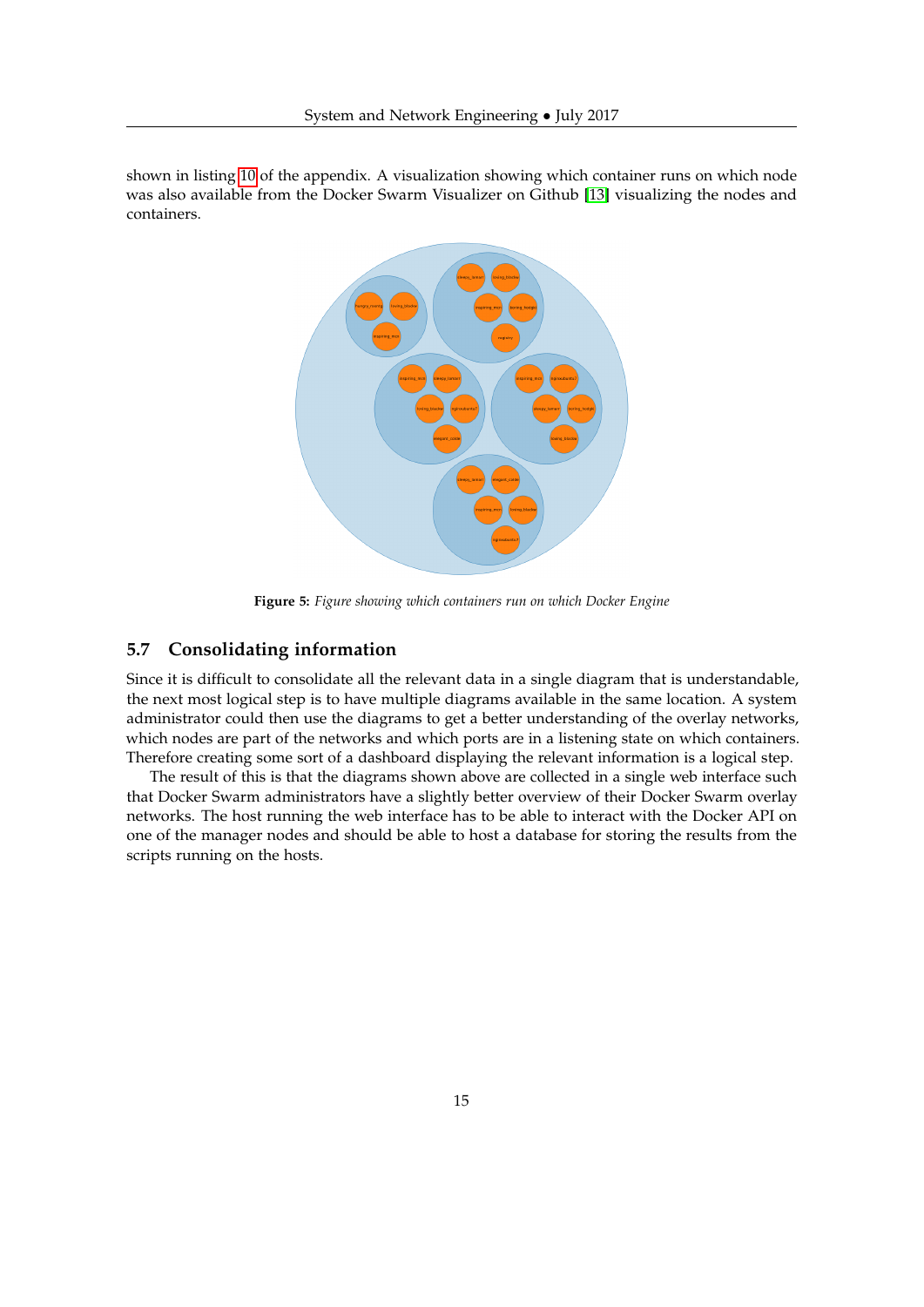<span id="page-14-1"></span>shown in listing [10](#page-28-0) of the appendix. A visualization showing which container runs on which node was also available from the Docker Swarm Visualizer on Github [\[13\]](#page-17-12) visualizing the nodes and containers.



**Figure 5:** *Figure showing which containers run on which Docker Engine*

### <span id="page-14-0"></span>**5.7 Consolidating information**

Since it is difficult to consolidate all the relevant data in a single diagram that is understandable, the next most logical step is to have multiple diagrams available in the same location. A system administrator could then use the diagrams to get a better understanding of the overlay networks, which nodes are part of the networks and which ports are in a listening state on which containers. Therefore creating some sort of a dashboard displaying the relevant information is a logical step.

The result of this is that the diagrams shown above are collected in a single web interface such that Docker Swarm administrators have a slightly better overview of their Docker Swarm overlay networks. The host running the web interface has to be able to interact with the Docker API on one of the manager nodes and should be able to host a database for storing the results from the scripts running on the hosts.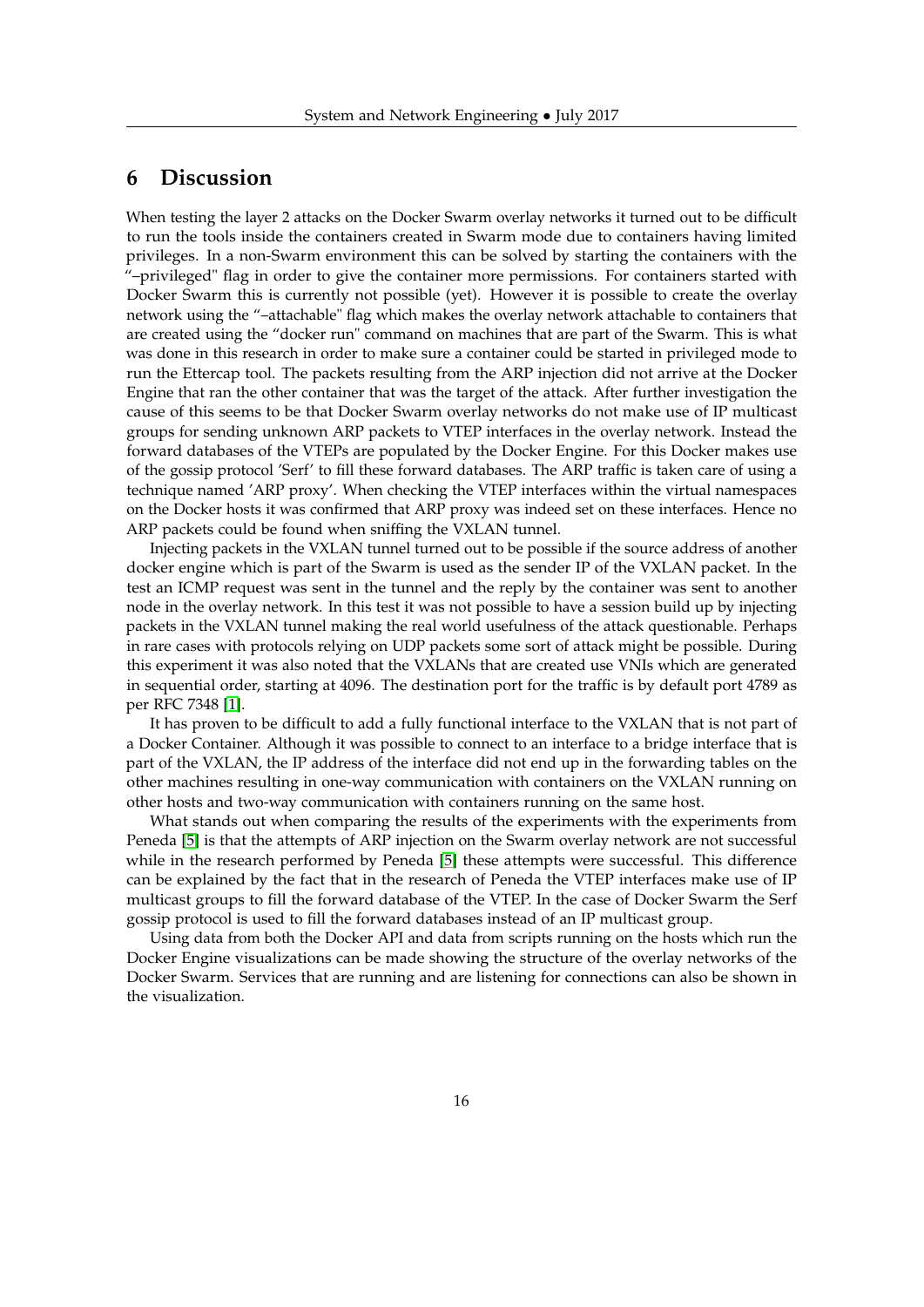# <span id="page-15-0"></span>**6 Discussion**

When testing the layer 2 attacks on the Docker Swarm overlay networks it turned out to be difficult to run the tools inside the containers created in Swarm mode due to containers having limited privileges. In a non-Swarm environment this can be solved by starting the containers with the "–privileged" flag in order to give the container more permissions. For containers started with Docker Swarm this is currently not possible (yet). However it is possible to create the overlay network using the "–attachable" flag which makes the overlay network attachable to containers that are created using the "docker run" command on machines that are part of the Swarm. This is what was done in this research in order to make sure a container could be started in privileged mode to run the Ettercap tool. The packets resulting from the ARP injection did not arrive at the Docker Engine that ran the other container that was the target of the attack. After further investigation the cause of this seems to be that Docker Swarm overlay networks do not make use of IP multicast groups for sending unknown ARP packets to VTEP interfaces in the overlay network. Instead the forward databases of the VTEPs are populated by the Docker Engine. For this Docker makes use of the gossip protocol 'Serf' to fill these forward databases. The ARP traffic is taken care of using a technique named 'ARP proxy'. When checking the VTEP interfaces within the virtual namespaces on the Docker hosts it was confirmed that ARP proxy was indeed set on these interfaces. Hence no ARP packets could be found when sniffing the VXLAN tunnel.

Injecting packets in the VXLAN tunnel turned out to be possible if the source address of another docker engine which is part of the Swarm is used as the sender IP of the VXLAN packet. In the test an ICMP request was sent in the tunnel and the reply by the container was sent to another node in the overlay network. In this test it was not possible to have a session build up by injecting packets in the VXLAN tunnel making the real world usefulness of the attack questionable. Perhaps in rare cases with protocols relying on UDP packets some sort of attack might be possible. During this experiment it was also noted that the VXLANs that are created use VNIs which are generated in sequential order, starting at 4096. The destination port for the traffic is by default port 4789 as per RFC 7348 [\[1\]](#page-17-0).

It has proven to be difficult to add a fully functional interface to the VXLAN that is not part of a Docker Container. Although it was possible to connect to an interface to a bridge interface that is part of the VXLAN, the IP address of the interface did not end up in the forwarding tables on the other machines resulting in one-way communication with containers on the VXLAN running on other hosts and two-way communication with containers running on the same host.

What stands out when comparing the results of the experiments with the experiments from Peneda [\[5\]](#page-17-4) is that the attempts of ARP injection on the Swarm overlay network are not successful while in the research performed by Peneda [\[5\]](#page-17-4) these attempts were successful. This difference can be explained by the fact that in the research of Peneda the VTEP interfaces make use of IP multicast groups to fill the forward database of the VTEP. In the case of Docker Swarm the Serf gossip protocol is used to fill the forward databases instead of an IP multicast group.

Using data from both the Docker API and data from scripts running on the hosts which run the Docker Engine visualizations can be made showing the structure of the overlay networks of the Docker Swarm. Services that are running and are listening for connections can also be shown in the visualization.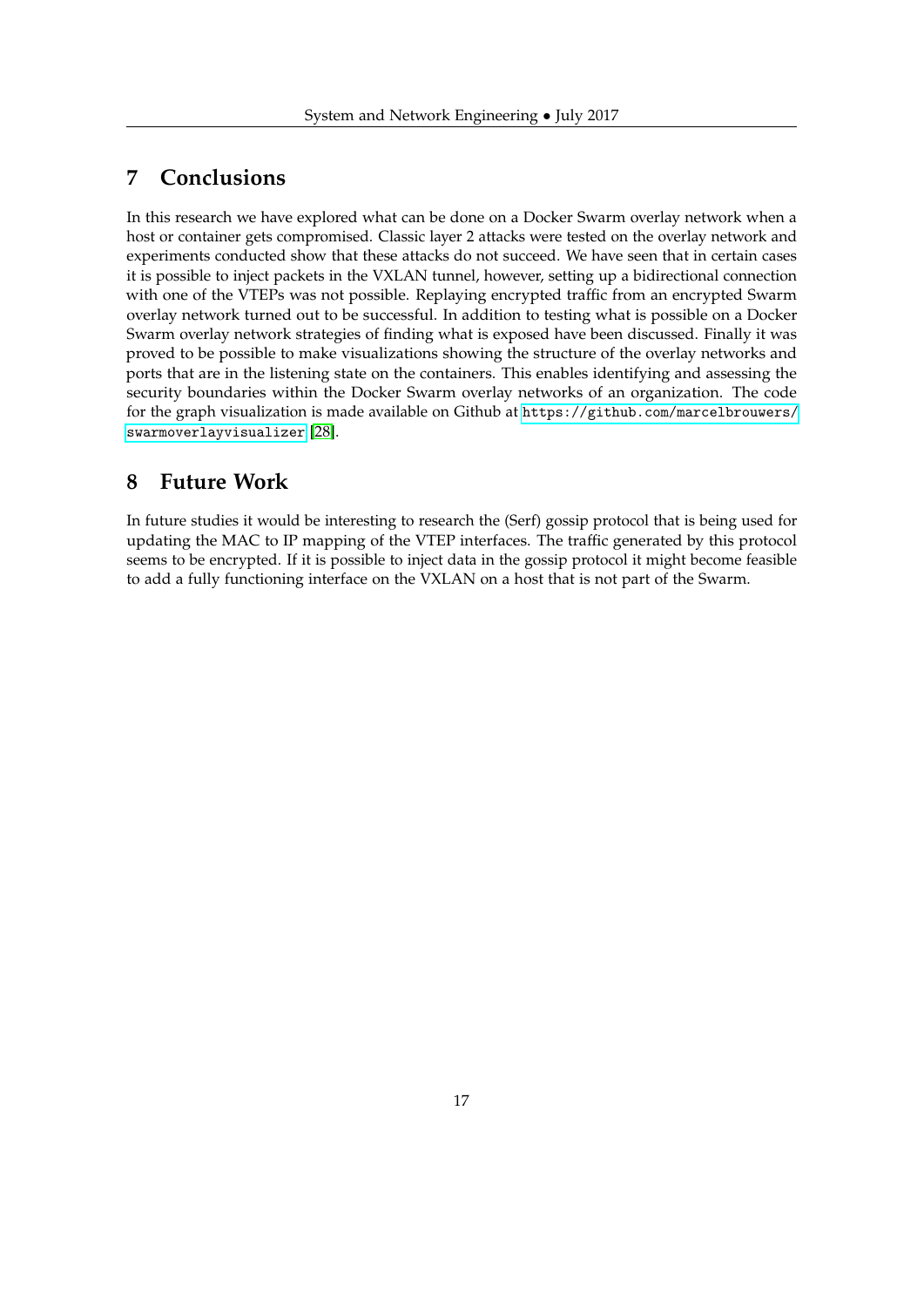# <span id="page-16-0"></span>**7 Conclusions**

In this research we have explored what can be done on a Docker Swarm overlay network when a host or container gets compromised. Classic layer 2 attacks were tested on the overlay network and experiments conducted show that these attacks do not succeed. We have seen that in certain cases it is possible to inject packets in the VXLAN tunnel, however, setting up a bidirectional connection with one of the VTEPs was not possible. Replaying encrypted traffic from an encrypted Swarm overlay network turned out to be successful. In addition to testing what is possible on a Docker Swarm overlay network strategies of finding what is exposed have been discussed. Finally it was proved to be possible to make visualizations showing the structure of the overlay networks and ports that are in the listening state on the containers. This enables identifying and assessing the security boundaries within the Docker Swarm overlay networks of an organization. The code for the graph visualization is made available on Github at [https://github.com/marcelbrouwers/](https://github.com/marcelbrouwers/swarmoverlayvisualizer) [swarmoverlayvisualizer](https://github.com/marcelbrouwers/swarmoverlayvisualizer) [\[28\]](#page-18-12).

### <span id="page-16-1"></span>**8 Future Work**

In future studies it would be interesting to research the (Serf) gossip protocol that is being used for updating the MAC to IP mapping of the VTEP interfaces. The traffic generated by this protocol seems to be encrypted. If it is possible to inject data in the gossip protocol it might become feasible to add a fully functioning interface on the VXLAN on a host that is not part of the Swarm.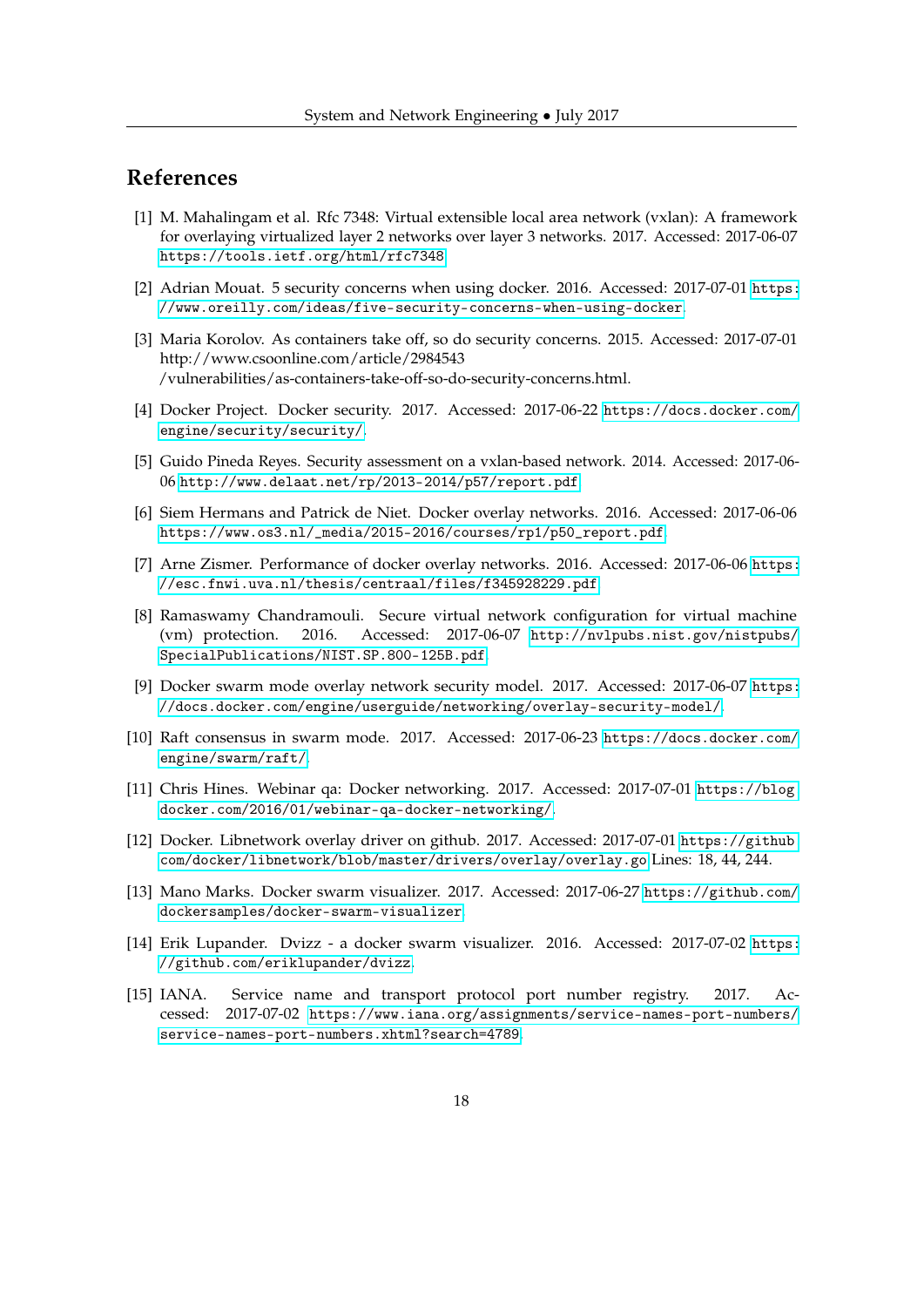# **References**

- <span id="page-17-0"></span>[1] M. Mahalingam et al. Rfc 7348: Virtual extensible local area network (vxlan): A framework for overlaying virtualized layer 2 networks over layer 3 networks. 2017. Accessed: 2017-06-07 <https://tools.ietf.org/html/rfc7348>.
- <span id="page-17-1"></span>[2] Adrian Mouat. 5 security concerns when using docker. 2016. Accessed: 2017-07-01 [https:](https://www.oreilly.com/ideas/five-security-concerns-when-using-docker) [//www.oreilly.com/ideas/five-security-concerns-when-using-docker](https://www.oreilly.com/ideas/five-security-concerns-when-using-docker).
- <span id="page-17-2"></span>[3] Maria Korolov. As containers take off, so do security concerns. 2015. Accessed: 2017-07-01 http://www.csoonline.com/article/2984543 /vulnerabilities/as-containers-take-off-so-do-security-concerns.html.
- <span id="page-17-3"></span>[4] Docker Project. Docker security. 2017. Accessed: 2017-06-22 [https://docs.docker.com/](https://docs.docker.com/engine/security/security/) [engine/security/security/](https://docs.docker.com/engine/security/security/).
- <span id="page-17-4"></span>[5] Guido Pineda Reyes. Security assessment on a vxlan-based network. 2014. Accessed: 2017-06- 06 <http://www.delaat.net/rp/2013-2014/p57/report.pdf>.
- <span id="page-17-5"></span>[6] Siem Hermans and Patrick de Niet. Docker overlay networks. 2016. Accessed: 2017-06-06 [https://www.os3.nl/\\_media/2015-2016/courses/rp1/p50\\_report.pdf](https://www.os3.nl/_media/2015-2016/courses/rp1/p50_report.pdf).
- <span id="page-17-6"></span>[7] Arne Zismer. Performance of docker overlay networks. 2016. Accessed: 2017-06-06 [https:](https://esc.fnwi.uva.nl/thesis/centraal/files/f345928229.pdf) [//esc.fnwi.uva.nl/thesis/centraal/files/f345928229.pdf](https://esc.fnwi.uva.nl/thesis/centraal/files/f345928229.pdf).
- <span id="page-17-7"></span>[8] Ramaswamy Chandramouli. Secure virtual network configuration for virtual machine (vm) protection. 2016. Accessed: 2017-06-07 [http://nvlpubs.nist.gov/nistpubs/](http://nvlpubs.nist.gov/nistpubs/SpecialPublications/NIST.SP.800-125B.pdf) [SpecialPublications/NIST.SP.800-125B.pdf](http://nvlpubs.nist.gov/nistpubs/SpecialPublications/NIST.SP.800-125B.pdf).
- <span id="page-17-8"></span>[9] Docker swarm mode overlay network security model. 2017. Accessed: 2017-06-07 [https:](https://docs.docker.com/engine/userguide/networking/overlay-security-model/) [//docs.docker.com/engine/userguide/networking/overlay-security-model/](https://docs.docker.com/engine/userguide/networking/overlay-security-model/).
- <span id="page-17-9"></span>[10] Raft consensus in swarm mode. 2017. Accessed: 2017-06-23 [https://docs.docker.com/](https://docs.docker.com/engine/swarm/raft/) [engine/swarm/raft/](https://docs.docker.com/engine/swarm/raft/).
- <span id="page-17-10"></span>[11] Chris Hines. Webinar qa: Docker networking. 2017. Accessed: 2017-07-01 [https://blog.](https://blog.docker.com/2016/01/webinar-qa-docker-networking/) [docker.com/2016/01/webinar-qa-docker-networking/](https://blog.docker.com/2016/01/webinar-qa-docker-networking/).
- <span id="page-17-11"></span>[12] Docker. Libnetwork overlay driver on github. 2017. Accessed: 2017-07-01 [https://github.](https://github.com/docker/libnetwork/blob/master/drivers/overlay/overlay.go) [com/docker/libnetwork/blob/master/drivers/overlay/overlay.go](https://github.com/docker/libnetwork/blob/master/drivers/overlay/overlay.go) Lines: 18, 44, 244.
- <span id="page-17-12"></span>[13] Mano Marks. Docker swarm visualizer. 2017. Accessed: 2017-06-27 [https://github.com/](https://github.com/dockersamples/docker-swarm-visualizer) [dockersamples/docker-swarm-visualizer](https://github.com/dockersamples/docker-swarm-visualizer).
- <span id="page-17-13"></span>[14] Erik Lupander. Dvizz - a docker swarm visualizer. 2016. Accessed: 2017-07-02 [https:](https://github.com/eriklupander/dvizz) [//github.com/eriklupander/dvizz](https://github.com/eriklupander/dvizz).
- <span id="page-17-14"></span>[15] IANA. Service name and transport protocol port number registry. 2017. Accessed: 2017-07-02 [https://www.iana.org/assignments/service-names-port-numbers/](https://www.iana.org/assignments/service-names-port-numbers/service-names-port-numbers.xhtml?search=4789) [service-names-port-numbers.xhtml?search=4789](https://www.iana.org/assignments/service-names-port-numbers/service-names-port-numbers.xhtml?search=4789).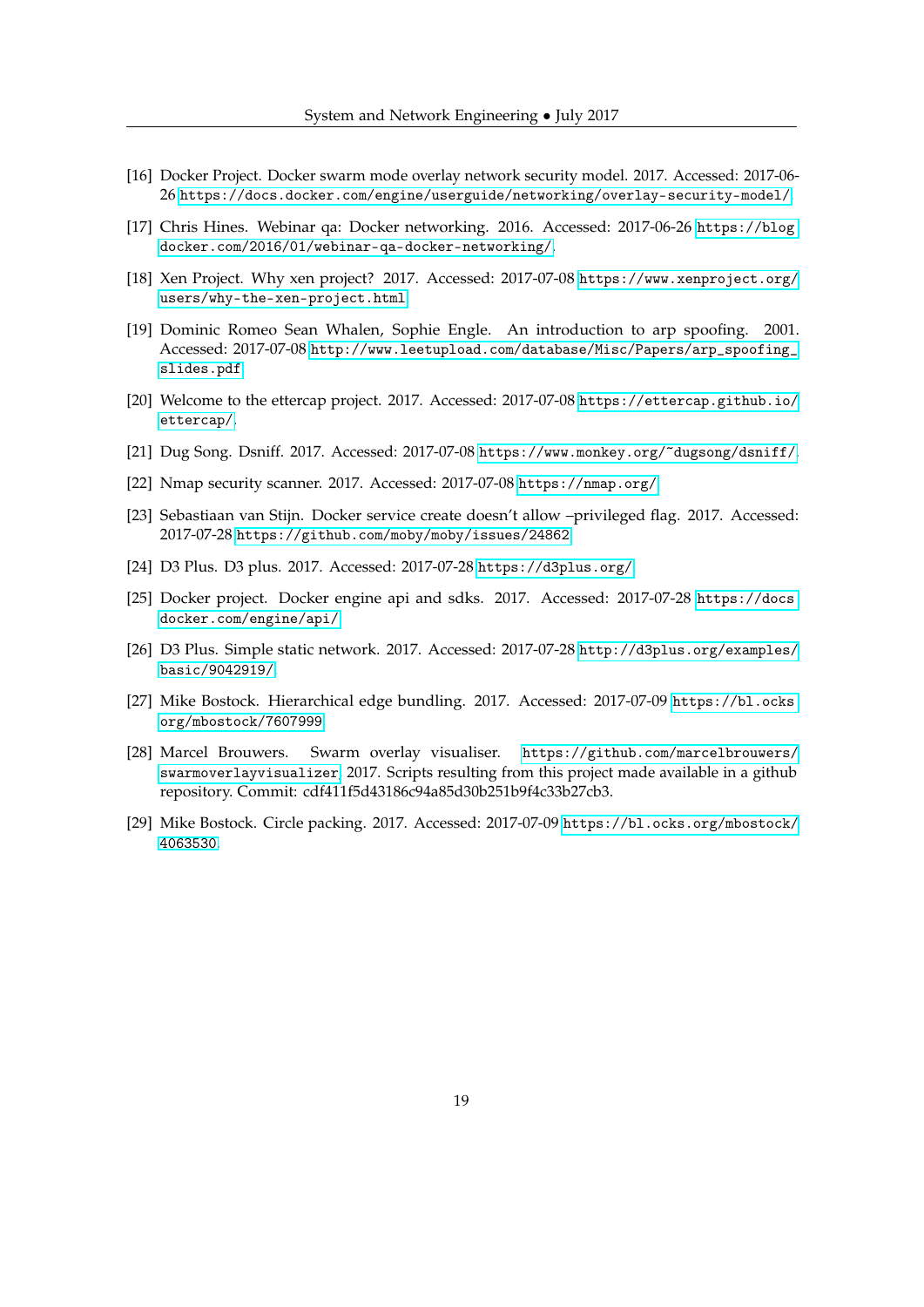- <span id="page-18-0"></span>[16] Docker Project. Docker swarm mode overlay network security model. 2017. Accessed: 2017-06- 26 <https://docs.docker.com/engine/userguide/networking/overlay-security-model/>.
- <span id="page-18-1"></span>[17] Chris Hines. Webinar qa: Docker networking. 2016. Accessed: 2017-06-26 [https://blog.](https://blog.docker.com/2016/01/webinar-qa-docker-networking/) [docker.com/2016/01/webinar-qa-docker-networking/](https://blog.docker.com/2016/01/webinar-qa-docker-networking/).
- <span id="page-18-2"></span>[18] Xen Project. Why xen project? 2017. Accessed: 2017-07-08 [https://www.xenproject.org/](https://www.xenproject.org/users/why-the-xen-project.html) [users/why-the-xen-project.html](https://www.xenproject.org/users/why-the-xen-project.html).
- <span id="page-18-3"></span>[19] Dominic Romeo Sean Whalen, Sophie Engle. An introduction to arp spoofing. 2001. Accessed: 2017-07-08 [http://www.leetupload.com/database/Misc/Papers/arp\\_spoofing\\_](http://www.leetupload.com/database/Misc/Papers/arp_spoofing_slides.pdf) [slides.pdf](http://www.leetupload.com/database/Misc/Papers/arp_spoofing_slides.pdf).
- <span id="page-18-4"></span>[20] Welcome to the ettercap project. 2017. Accessed: 2017-07-08 [https://ettercap.github.io/](https://ettercap.github.io/ettercap/) [ettercap/](https://ettercap.github.io/ettercap/).
- <span id="page-18-5"></span>[21] Dug Song. Dsniff. 2017. Accessed: 2017-07-08 <https://www.monkey.org/~dugsong/dsniff/>.
- <span id="page-18-6"></span>[22] Nmap security scanner. 2017. Accessed: 2017-07-08 <https://nmap.org/>.
- <span id="page-18-7"></span>[23] Sebastiaan van Stijn. Docker service create doesn't allow –privileged flag. 2017. Accessed: 2017-07-28 <https://github.com/moby/moby/issues/24862>.
- <span id="page-18-8"></span>[24] D3 Plus. D3 plus. 2017. Accessed: 2017-07-28 <https://d3plus.org/>.
- <span id="page-18-9"></span>[25] Docker project. Docker engine api and sdks. 2017. Accessed: 2017-07-28 [https://docs.](https://docs.docker.com/engine/api/) [docker.com/engine/api/](https://docs.docker.com/engine/api/).
- <span id="page-18-10"></span>[26] D3 Plus. Simple static network. 2017. Accessed: 2017-07-28 [http://d3plus.org/examples/](http://d3plus.org/examples/basic/9042919/) [basic/9042919/](http://d3plus.org/examples/basic/9042919/).
- <span id="page-18-11"></span>[27] Mike Bostock. Hierarchical edge bundling. 2017. Accessed: 2017-07-09 [https://bl.ocks.](https://bl.ocks.org/mbostock/7607999) [org/mbostock/7607999](https://bl.ocks.org/mbostock/7607999).
- <span id="page-18-12"></span>[28] Marcel Brouwers. Swarm overlay visualiser. [https://github.com/marcelbrouwers/](https://github.com/marcelbrouwers/swarmoverlayvisualizer) [swarmoverlayvisualizer](https://github.com/marcelbrouwers/swarmoverlayvisualizer), 2017. Scripts resulting from this project made available in a github repository. Commit: cdf411f5d43186c94a85d30b251b9f4c33b27cb3.
- <span id="page-18-13"></span>[29] Mike Bostock. Circle packing. 2017. Accessed: 2017-07-09 [https://bl.ocks.org/mbostock/](https://bl.ocks.org/mbostock/4063530) [4063530](https://bl.ocks.org/mbostock/4063530).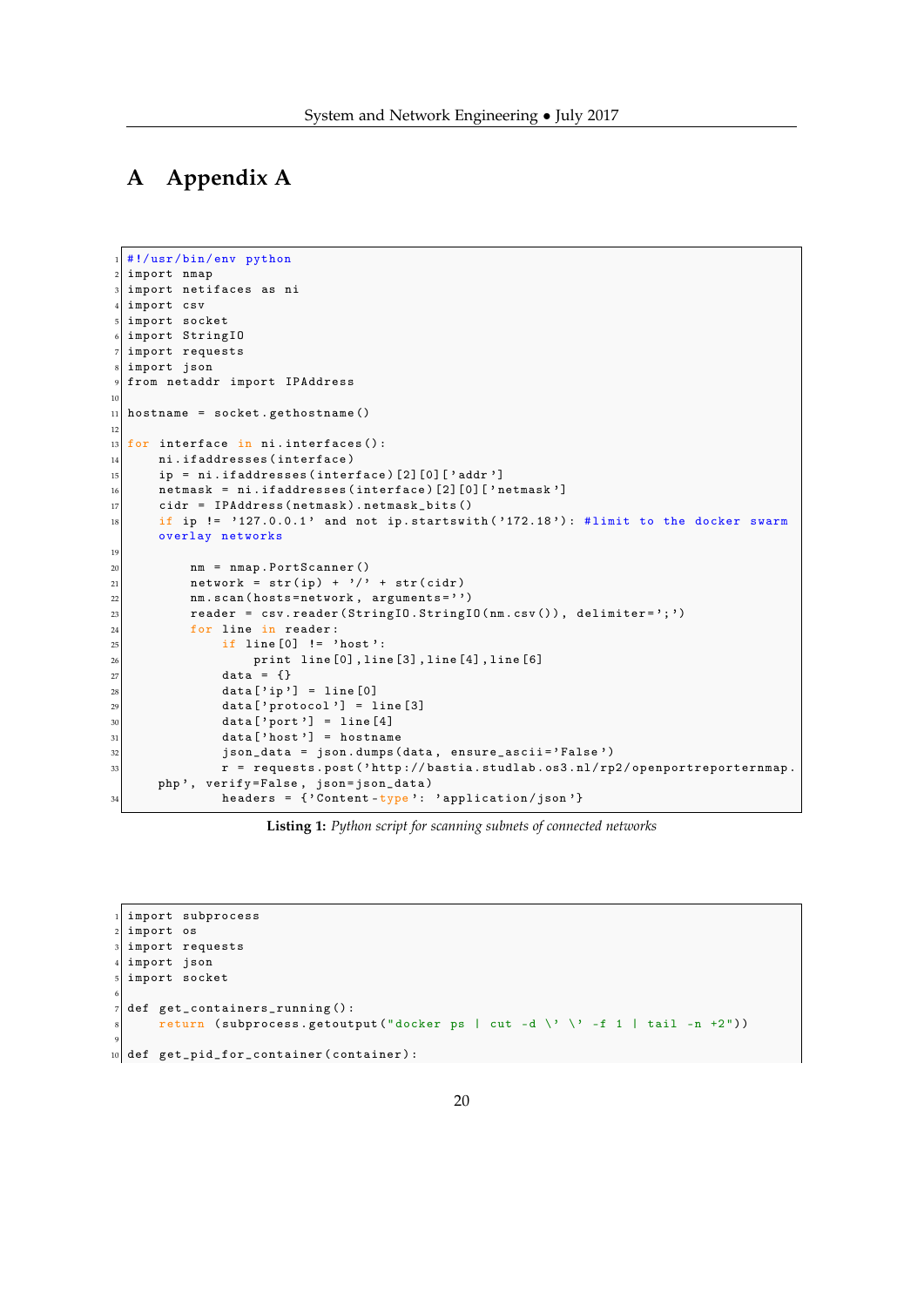# <span id="page-19-0"></span>**A Appendix A**

```
1 #!/ usr /bin /env python
2 import nmap
  import netifaces as ni
  import csv
  import socket
  import StringIO
  import requests
  import json
  from netaddr import IPAddress
10
11 hostname = socket.gethostname ()
12
\frac{13}{10} for interface in ni.interfaces():
_{14} ni.ifaddresses (interface)
\begin{bmatrix} 15 \end{bmatrix} ip = ni.ifaddresses (interface) [2] [0] ['addr']
\vert 16 netmask = ni.ifaddresses (interface) [2][0]['netmask']
17 cidr = IPAddress (netmask).netmask_bits ()
18 if ip != '127.0.0.1' and not ip.startswith ('172.18'): #limit to the docker swarm
       overlay networks
19
20 nm = nmap . PortScanner ()
21 network = str(ip) + \prime/' + str(cidr)
22 nm. scan (hosts=network, arguments='')
|23| reader = csv.reader (StringIO.StringIO (nm.csv()), delimiter=';')
24 for line in reader:
25 if line [0] != 'host':
\begin{array}{c|c} 26 & \text{print line [0], line [3], line [4], line [6]} \\ \hline 27 & \text{data = } \{ \} \end{array}data = \{\}28 data [\text{ip }'] = \text{line }[0]<br>data [\text{protocol }'] = 1data['protocol'] = line [3]30 data ['\frac{1}{31} data ['\frac{1}{31} data ['\frac{1}{31} data ['\frac{1}{31} data ['\frac{1}{31} data ['\frac{1}{31} data ['\frac{1}{31} data ['\frac{1}{31} data ['\frac{1}{31} data ['\frac{1}{31} data ['\frac{1}{31} data ['\frac{1}{31} da
                  data['host'] = hostname32 json_data = json.dumps (data, ensure_ascii='False')
\begin{array}{rcl} \text{33} & \text{r} & = & \text{requests.post('http://bastia.studlab.os3.nl/rp2/openportreporterman)} \end{array}php', verify=False, json=json_data)
34 headers = \{ 'Content-type' : 'application/json' \}
```
**Listing 1:** *Python script for scanning subnets of connected networks*

```
1 import subprocess
2 import os
3 import requests
 import json
 import socket
6
  def get_containers_running () :
      return (subprocess.getoutput ("docker ps | cut -d \' \' -f 1 | tail -n +2"))
9
_{10} def get_pid_for_container (container):
```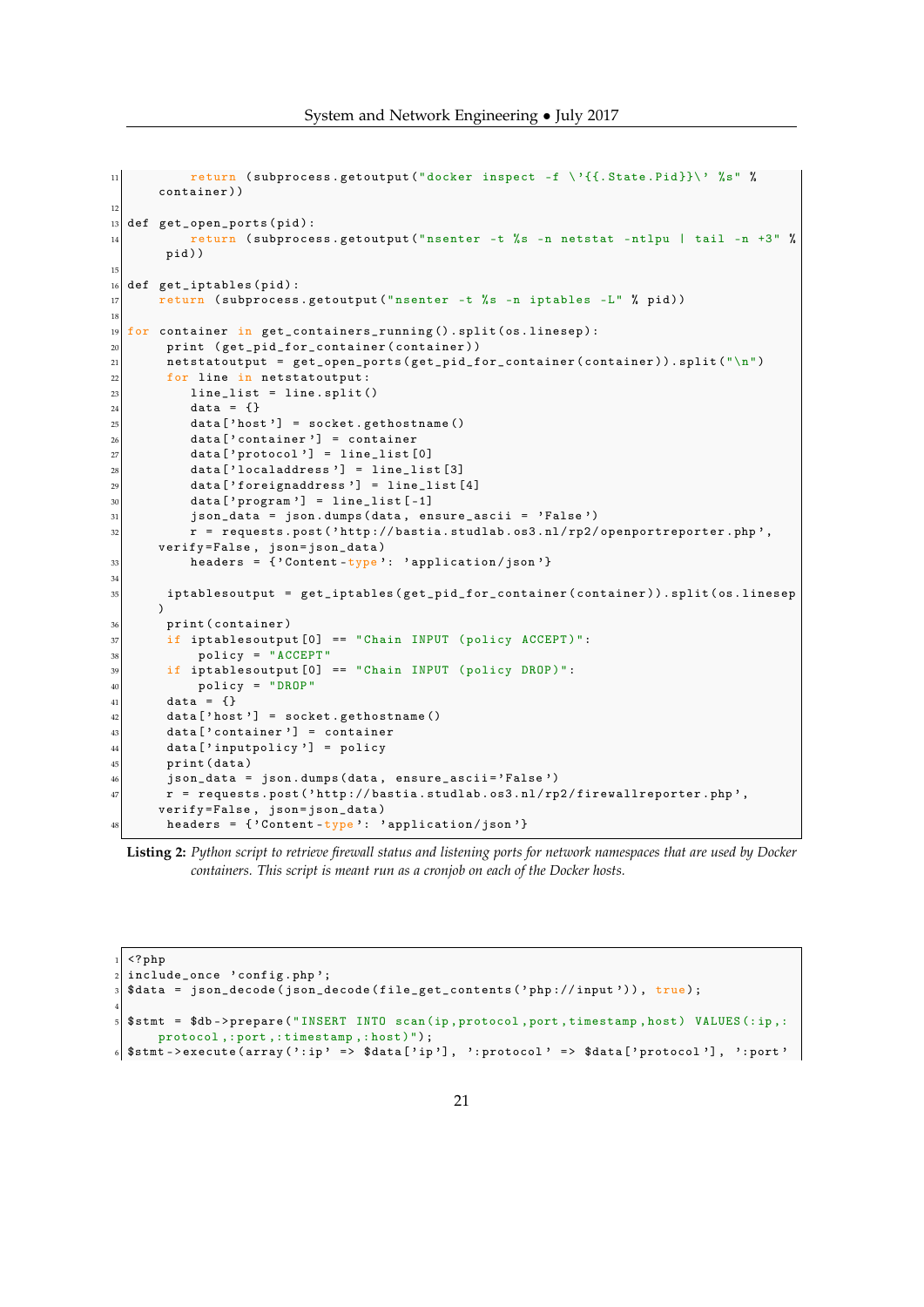```
11 return (subprocess.getoutput ("docker inspect -f \'{{.State.Pid}}\' %s" %
      container ))
12
13 def get_open_ports (pid):
14 return ( subprocess . getoutput (" nsenter -t %s -n netstat -ntlpu | tail -n +3" %
       pid))
15
16 def get_iptables (pid):
17 return ( subprocess . getoutput (" nsenter -t %s -n iptables -L" % pid ))
18
19 \vert for container in get_containers_running ().split (os.linesep):
20 print ( get_pid_for_container ( container ) )
|21| netstatoutput = get_open_ports (get_pid_for_container (container)).split ("\n")
|22| for line in netstatoutput:
|23| line_list = line.split()
24 data = {}
\vert 25 data ['host'] = socket. gethostname ()
\begin{array}{c|c}\n\hline\n26\n\end{array} data ['container'] = container
27 data ['27 data ['27] = line_list [0]
\begin{bmatrix} 28 \\ 28 \end{bmatrix} data ['localaddress'] = line_list [3]
\begin{bmatrix} 29 \\ 29 \end{bmatrix} data ['foreignaddress'] = line_list [4]
30 data ['\frac{1}{2} program'] = line_list [-1]
31 json_data = json.dumps (data, ensure_ascii = 'False')
32 r = requests . post ('http://bastia . studlab . os3 . nl/rp2/openportreporter . php',
      verify = False , json = json_data )
33 headers = {'Content-type': 'application/json'}
34
35 iptablesoutput = get_iptables ( get_pid_for_container ( container ) ). split ( os . linesep
      \lambda36 print (container)
37 if iptablesoutput [0] == "Chain INPUT (policy ACCEPT)":
38 policy = "ACCEPT"
39 if iptablesoutput [0] == "Chain INPUT (policy DROP)":
40 policy = "DROP"
41 data = \{ \}\left| \begin{array}{c} 42 \\ 42 \end{array} \right| data ['host'] = socket.gethostname ()
|43| data ['container'] = container
44 data ['inputpolicy'] = policy
45 print (data)
\frac{46}{47} json_data = json.dumps(data, ensure_ascii='False')<br>r = requests.post('http://bastia.studlab.os3.nl/rp
       r = requests.post('http://bastia.studlab.os3.nl/rp2/firewallreporter.php',
       verify=False, json=json_data)
48 headers = {'Content-type': 'application/json'}
```

```
Listing 2: Python script to retrieve firewall status and listening ports for network namespaces that are used by Docker
           containers. This script is meant run as a cronjob on each of the Docker hosts.
```

```
1 <? php
 include_once 'config.php';
 $data = json_decode (json_decode (file_get_contents ('php://input')), true);
4
 $stmt = $db->prepare ("INSERT INTO scan (ip, protocol, port, timestamp, host) VALUES (:ip, :
     protocol, : port, : timestamp, : host)");
 6 $stmt - > execute ( array ( ': ip ' => $data [' ip '] , ': protocol ' = > $data [ ' protocol '] , ': port '
```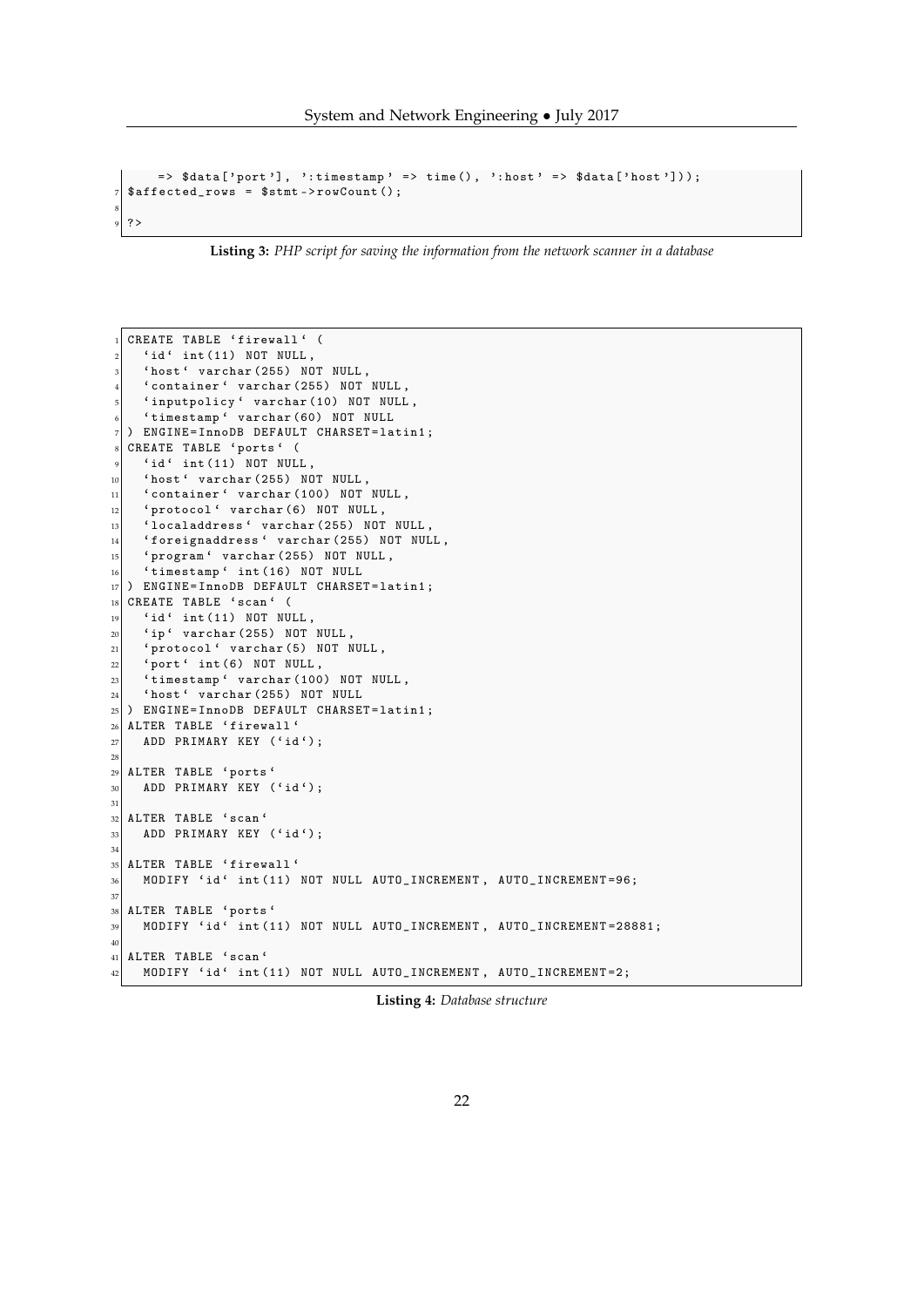System and Network Engineering • July 2017

```
=> $data [' port '] , ': timestamp ' => time () , ': host ' => $data [' host ']) ) ;
|7| \affected_rows = \ \stmt->rowCount();
8
 9 ?>
```
**Listing 3:** *PHP script for saving the information from the network scanner in a database*

<span id="page-21-0"></span>

| 1              | CREATE TABLE 'firewall' (                                          |
|----------------|--------------------------------------------------------------------|
| $\overline{2}$ | $'id'$ int $(11)$ NOT NULL,                                        |
| 3              | 'host' varchar (255) NOT NULL,                                     |
| $\overline{4}$ | 'container' varchar (255) NOT NULL,                                |
| 5              | 'inputpolicy' varchar (10) NOT NULL,                               |
| 6              | 'timestamp' varchar (60) NOT NULL                                  |
| 7              | ENGINE=InnoDB DEFAULT CHARSET=latin1;<br>$\lambda$                 |
| $\,$ 8 $\,$    | CREATE TABLE 'ports' (                                             |
| 9              | 'id' int(11) NOT NULL,                                             |
| $10\,$         | 'host' varchar (255) NOT NULL,                                     |
| 11             | 'container' varchar (100) NOT NULL,                                |
| 12             | 'protocol' varchar (6) NOT NULL,                                   |
| 13             | 'localaddress' varchar (255) NOT NULL,                             |
| 14             | 'foreignaddress' varchar (255) NOT NULL,                           |
| 15             | 'program' varchar (255) NOT NULL,                                  |
| 16             | 'timestamp' int(16) NOT NULL                                       |
| 17             | ENGINE=InnoDB DEFAULT CHARSET=latin1;<br>$\lambda$                 |
| 18             | CREATE TABLE 'scan' (                                              |
| 19             | $'id'$ int $(11)$ NOT NULL,                                        |
| 20             | 'ip' varchar (255) NOT NULL,                                       |
| 21             | 'protocol' varchar (5) NOT NULL,                                   |
| 22             | 'port' int(6) NOT NULL,                                            |
| 23             | 'timestamp' varchar (100) NOT NULL,                                |
| 24             | 'host' varchar (255) NOT NULL                                      |
| 25             | ENGINE=InnoDB DEFAULT CHARSET=latin1;<br>$\lambda$                 |
| 26             | ALTER TABLE 'firewall'                                             |
| 27             | ADD PRIMARY KEY ('id');                                            |
| 28             |                                                                    |
| 29             | ALTER TABLE 'ports'                                                |
| 30             | ADD PRIMARY KEY ('id');                                            |
| 31             |                                                                    |
| 32             | ALTER TABLE 'scan'                                                 |
| 33             | ADD PRIMARY KEY ('id');                                            |
| 34             |                                                                    |
| 35             | ALTER TABLE 'firewall'                                             |
| 36             | MODIFY 'id' int (11) NOT NULL AUTO_INCREMENT, AUTO_INCREMENT=96;   |
| 37             |                                                                    |
| $38\,$         | ALTER TABLE 'ports'                                                |
| 39             | MODIFY 'id' int(11) NOT NULL AUTO_INCREMENT, AUTO_INCREMENT=28881; |
| 40             |                                                                    |
|                | 41 ALTER TABLE 'scan'                                              |
| 42             | MODIFY 'id' int (11) NOT NULL AUTO_INCREMENT, AUTO_INCREMENT=2;    |

**Listing 4:** *Database structure*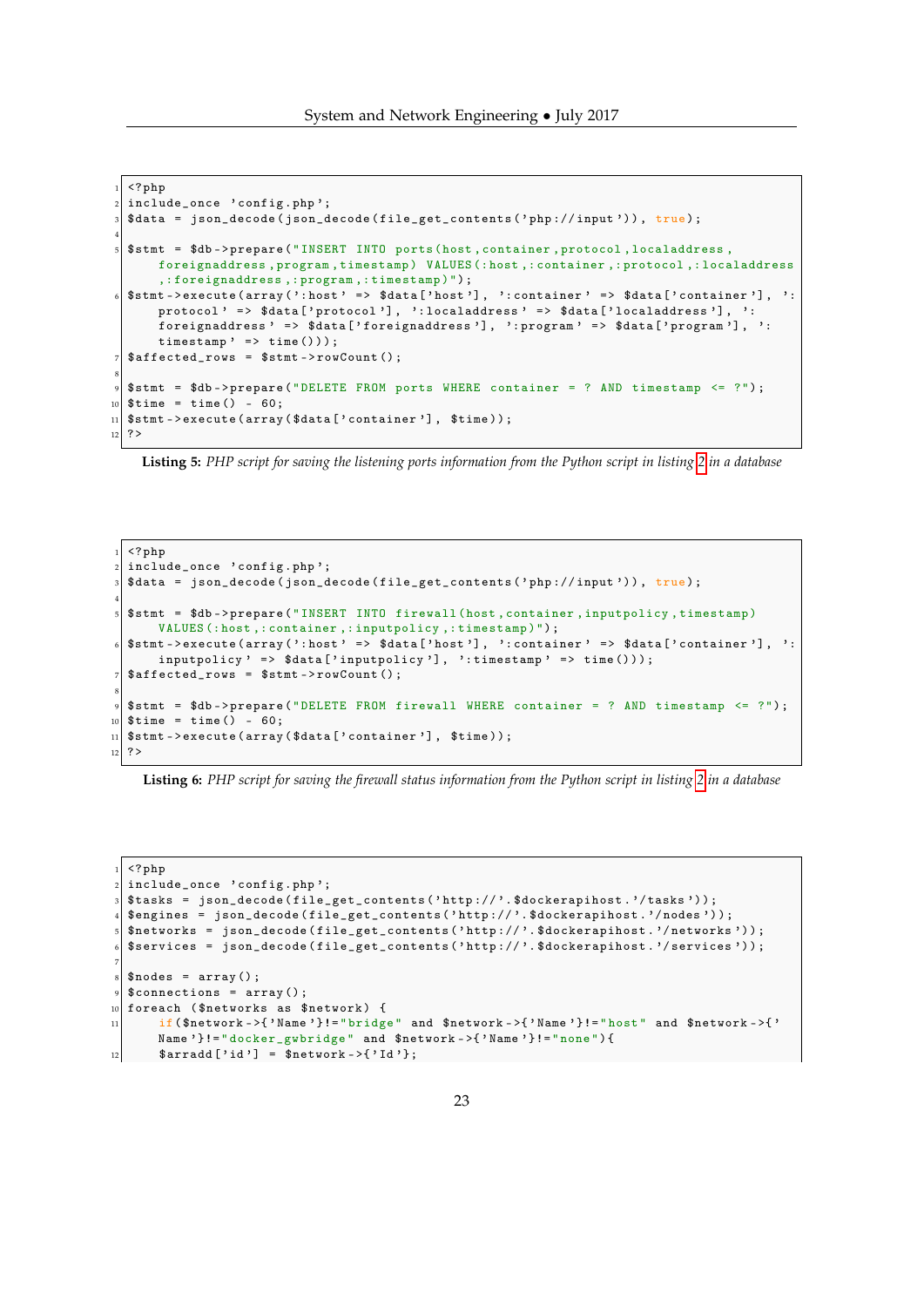```
1 <? php
  include_once 'config.php';
  \deltadata = json_decode (json_decode (file_get_contents ('php://input')), true);
 4
  5 $stmt = $db -> prepare (" INSERT INTO ports (host , container , protocol , localaddress ,
       foreignaddress, program, timestamp) VALUES (: host, : container, : protocol, : localaddress
       ,: foreignaddress ,: program ,: timestamp )");
  6 $stmt - > execute ( array ( ': host ' => $data [' host '] , ': container ' => $data [' container '] , ':
      protocol ' => $data ['protocol'], ': localaddress ' => $data ['localaddress'], ':
       foreignaddress ' => $data ['foreignaddress '], ': program ' => $data ['program '], ':
       timestamp' => time()));
  $affected_rows = $stm->rowCount();8
  $stmt = $db -> prepare ("DELETE FROM ports WHERE container = ? AND timestamp \leq ?");
10 \times 10^{10} stime = time () - 60:
_{11} \pm stmt ->execute (array (\text{\$data} \left[ 'container '], \text{\$time} ));
12 \mid ?
```
**Listing 5:** *PHP script for saving the listening ports information from the Python script in listing [2](#page-19-2) in a database*

```
\langle ? \, \text{php}include_once 'config.php';
   $data = json_decode (json_decode (file_get_contents ('php://input')), true);
 4
   5 $stmt = $db -> prepare (" INSERT INTO firewall (host , container , inputpolicy , timestamp )
        VALUES (: host ,: container ,: inputpolicy ,: timestamp )");
   6 $stmt - > execute ( array ( ': host ' => $data [' host '] , ': container ' => $data [' container '] , ':
        inputpolicy' => $data['inputpolicy'], ':timestamp' => time()));
   \text{4} \text{4} \text{4} \text{4} \text{4} \text{4} \text{4} \text{4} \text{4} \text{4} \text{4} \text{4} \text{4} \text{4} \text{4} \text{4} \text{4} \text{4} \text{4} \text{4} \text{4} \text{4} \text{4} \text{4} \text{4} \text{4} \text{4} \text{48
   9 $stmt = $db -> prepare (" DELETE FROM firewall WHERE container = ? AND timestamp <= ?");
_{10} $time = time () - 60;
_{11} $stmt ->execute (array ($data ['container'], $time));
12 ?>
```
**Listing 6:** *PHP script for saving the firewall status information from the Python script in listing [2](#page-19-2) in a database*

```
\langle ? \, \texttt{php}include_once 'config.php';
  3 $tasks = json_decode ( file_get_contents (' http :// '. $dockerapihost . '/ tasks ') ) ;
  4 $engines = json_decode ( file_get_contents (' http :// '. $dockerapihost . '/ nodes ') );
  5 $networks = json_decode ( file_get_contents (' http :// '. $dockerapihost . '/ networks ') ) ;
  6 $services = json_decode ( file_get_contents (' http :// '. $dockerapihost . '/ services ') ) ;
7
  \text{nodes} = \text{array}();
  $connections = array();
10 foreach ( $networks as $network ) {
11 if( $network - >{ ' Name '}!= " bridge " and $network - >{ ' Name '}!= " host " and $network - >{ '
       Name '}!= " docker_gwbridge " and $network - >{ ' Name '}!= " none ") {
12 \left\{\text{~arradal}~[~\text{'id'}~] = \text{~shetwork ->~} \{~\text{'Id'}\};
```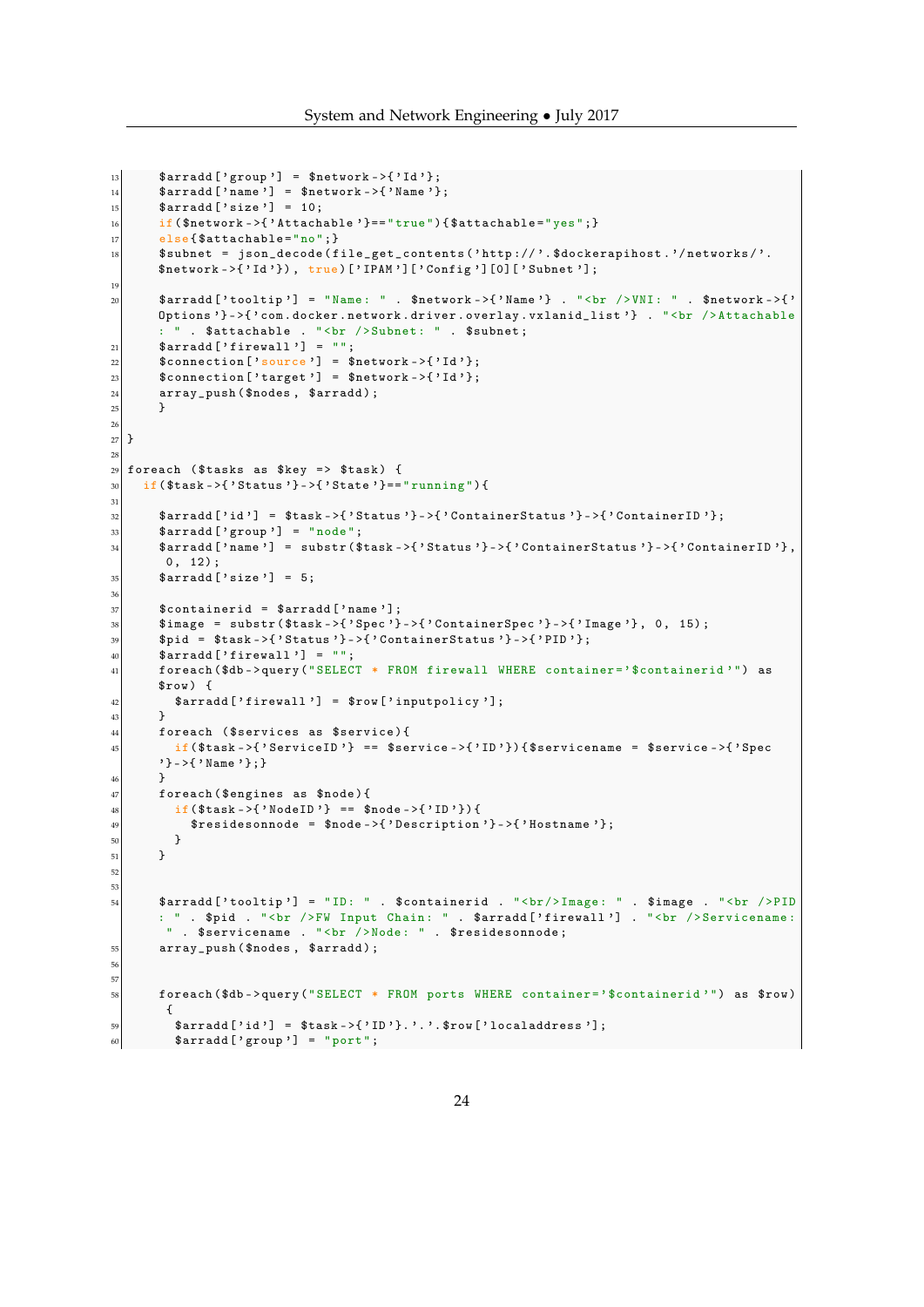```
13 \left| \right| $arradd ['group'] = $network ->{'Id'};
\left| \begin{array}{c} 14 \\ 14 \end{array} \right| $arradd ['name'] = $network ->{'Name'};
15 $arradd ['size'] = 10;
16 if ($network ->{'Attachable'}=="true"){$attachable="yes";}
17 else { $attachable = "no"; }
\{18\} $subnet = json_decode(file_get_contents('http://'.$dockerapihost.'/networks/'.
         $network->{'Id'}), true)['IPAM']['Config'][0]['Subnet'];
19
20 $arradd ['tooltip'] = "Name: " . $network ->{'Name'} . "<br />> />VNI: " . $network ->{'
         Options '} ->{' com.docker.network.driver.overlay.vxlanid_list '} . " <br />Attachable
         : " . $attachable . "<br />Subnet: " . $subnet;
21 \left| \right| $arradd ['firewall'] = "";
\begin{array}{c|c} \text{22} & \text{st} \end{array} \begin{array}{c} \text{13'} \\ \text{14'} \end{array}\left| \begin{array}{c} 23 \\ 3 \end{array} \right| $connection ['target'] = $network ->{'Id'};
24 array_push ($nodes, $arradd);
25 }
26
27 }
28_{29} foreach ($tasks as $key => $task) {
\begin{bmatrix} 30 \\ 1 \end{bmatrix} if ($task ->{'Status'}->{'State'}=="running"){
31
32 $arradd ['id'] = $task ->{'Status'}->{'ContainerStatus'}->{'ContainerID'};
| \quad \ \ \ \ \ \ \} \mathbb{Z} \mathbb{Z} \mathbb{Z} \mathbb{Z} \mathbb{Z} \mathbb{Z} \mathbb{Z} \mathbb{Z} \mathbb{Z} \mathbb{Z} \mathbb{Z} \mathbb{Z} \mathbb{Z} \mathbb{Z} \mathbb{Z} \mathbb{Z} \mathbb{Z} \mathbb{Z} \mathbb{Z} \mathbb{Z} \math34 $arradd ['name'] = substr ($task ->{'Status'}->{'ContainerStatus'}->{'ContainerID'},
          0, 12);35 $arradd ['size'] = 5;
36
37 $containerid = $arradd ['name'];
38 $image = substr ($task ->{'Spec'}->{'ContainerSpec'}->{'Image'}, 0, 15);
39 $pid = $task ->{'Status'} ->{'ContainerStatus'} ->{'PID'};
40 \left[\sqrt[3]{\arctan\left(\sqrt[3]{\arctan\left(\sqrt[3]{\arctan\left(\sqrt[3]{\arctan\left(\sqrt[3]{\arctan\left(\sqrt[3]{\arctan\left(\sqrt[3]{\arctan\left(\sqrt[3]{\arctan\left(\sqrt[3]{\arctan\left(\sqrt[3]{\arctan\left(\sqrt[3]{\arctan\left(\sqrt[3]{\arctan\left(\sqrt[3]{\arctan\left(\sqrt[3]{\arctan\left(\sqrt[3]{\arctan\left(\sqrt[3]{\arctan\left(\sqrt[3]{\arctan\left(\sqrt[3]{\arctan\left(\sqrt[3]{\arctan\left(\sqrt[3]{\41 foreach ($db -> query ("SELECT * FROM firewall WHERE container=' $containerid'") as
         $row) {
42 \left\{\left( \begin{array}{cc} \text{3} & \text{4} & \text{4} \\ \text{4} & \text{5} & \text{5} \end{array} \right) \right\} = $row ['inputpolicy'];
|43| }
44 foreach ($services as $service){
45 \vert if($task ->{'ServiceID'} == $service ->{'ID'}){$servicename = $service ->{'Spec
         '} - >{ ' Name '};}
\begin{array}{c|c}\n 46 & & \rightarrow \\
 47 & & \rightarrow \textbf{f}\n \end{array}foreach ($engines as $node) {
48 if($task ->{'NodeID'} == $node ->{'ID'}) {
49 \left\{\text{``Fesidesonnode = }\text{``hode->}{'}\text{''Description'}\text{''}->{'}\text{''Hostname'}\text{''};\right\}\begin{array}{c|c}\n50 & & \rightarrow \\
51 & & \rightarrow\n\end{array}\mathcal{F}52
53
54 $arradd [' tooltip '] = "ID: " . $containerid . "<br/> Image : " . $image . "<br / >PID
         : " . $pid . "<br />FW Input Chain: " . $arradd ['firewall '] . "<br />Servicename:
            " . $servicename . "<br />Node: " . $residesonnode;
55 array_push ( $nodes , $arradd );
56
57
58 foreach ( $db -> query (" SELECT * FROM ports WHERE container = ' $containerid '") as $row )
           {
\mathbb{S}^{9} $arradd ['id'] = $task ->{'ID'}.'.'.$row ['localaddress'];
\omega \delta \arctan\left[\frac{\theta}{2} \arctan\left(\frac{\theta}{2}\right)\right] = \arctan\left(\frac{\theta}{2}\right)
```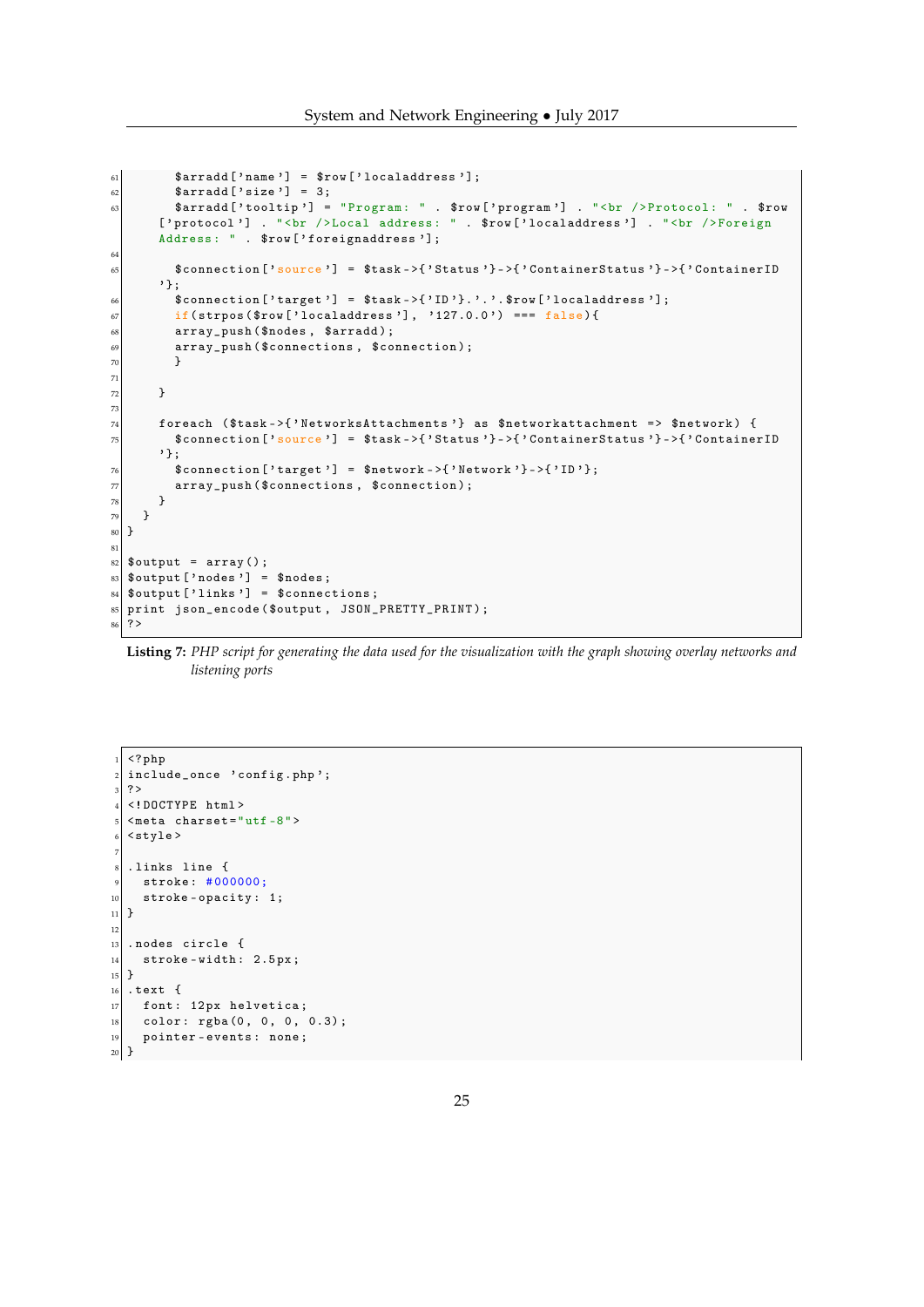```
61 $arradd ['name'] = $row ['localaddress'];
62 $arradd ['size'] = 3;
63 \sim $arradd ['tooltip'] = "Program: " . $row ['program'] . "<br />Protocol: " . $row
         ['protocol'] . "<br />Local address: " . $row ['localaddress'] . "<br />Foreign
         Address: " . $row ['foreignaddress'];
64
65 \bullet $connection ['source'] = $task ->{'Status'}->{'ContainerStatus'}->{'ContainerID
         '};
\begin{array}{lll} 66 & \text{\textsterling} 66 \\ 66 & \text{\textsterling} 66 \end{array} \begin{array}{lll} \text{\textsterling} 66 & \text{\textsterling} 66 \\ \text{\textsterling} 67 & \text{\textsterling} 67 \end{array} \begin{array}{lll} \text{\textsterling} 67 & \text{\textsterling} 67 \\ \text{\textsterling} 67 & \text{\textsterling} 67 \end{array} \begin{array}{lll} \text{\textsterling} 67 & \text{\textsterling} 67 \\ \text{\textsterling} 67 & \text{\textsterling} 67 \end{array}if(strpos ($row['localhost'], '127.0.0') === false){
68 array_push ($nodes, $arradd);
\begin{array}{c|c} \hline \text{69} & \text{array} \end{array} array_push ($connections, $connection);
70 }
71
72 }
73
74 foreach ($task->{'NetworksAttachments'} as $networkattachment => $network) {
75 $connection ['source'] = $task ->{'Status'}->{'ContainerStatus'}->{'ContainerID
         '};
\begin{array}{rcl} \text{76} & \text{st} \\ \text{776} & \text{st} \end{array}\overline{77} array_push ($connections, $connection);
78 }
79 }
80 }
81
|82| $output = array ();
| $output ['nodes'] = $nodes;
\mathbf{s}_4 $output ['links'] = $connections;
85 print json_encode ( $output , JSON_PRETTY_PRINT );
86 ?>
```

```
Listing 7: PHP script for generating the data used for the visualization with the graph showing overlay networks and
           listening ports
```

```
\langle? php
2 include_once 'config.php';
3 ?>
  4 <! DOCTYPE html >
  <math> meta charset = "utf -8">
  <style >
 7
  . links line {
   stroke: #000000;
10 stroke-opacity: 1;
11 \times12
13 . nodes circle {
14 stroke-width: 2.5px;
15}
_{16} . text {
17 font: 12px helvetica;
|18| color: rgba(0, 0, 0, 0.3);
19 pointer-events: none;
20 \times
```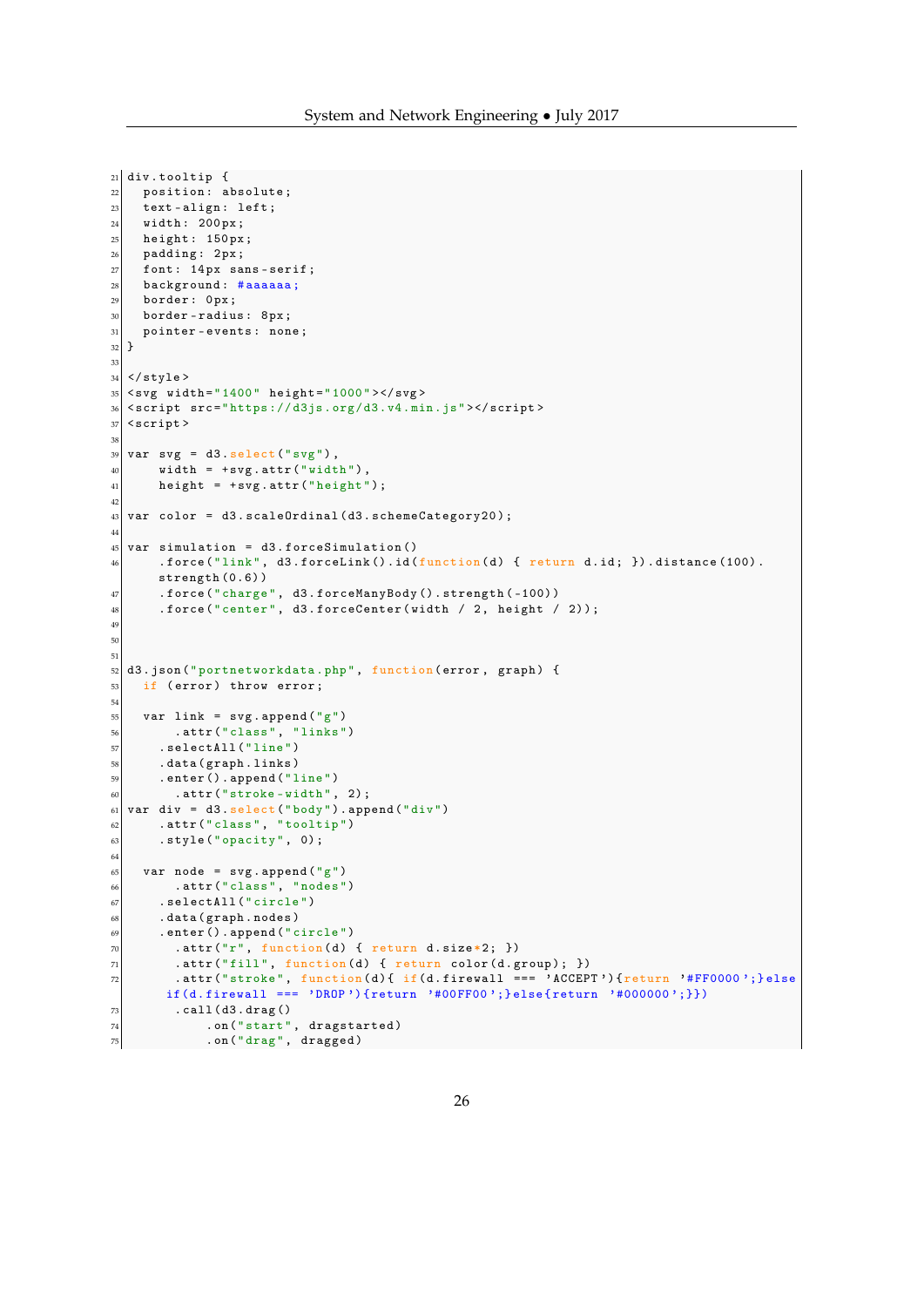```
21 div. tooltip {
22 position: absolute;
23 text-align: left;
_{24} width: 200px;
25 height: 150 px;
26 padding: 2px;27 font: 14px sans-serif;
28 background: #aaaaaa;
29 border: 0px;30 border-radius: 8px;
31 pointer-events: none;
32}
33
34 \mid \langle /stylestyle>
35 < s vidth="1400" height="1000"></svg>
36 < s script src="https://d3js.org/d3.v4.min.js"></script>
37 < s cript >
38
39 \vert \text{ var} \text{ svg} = d3.\text{select("svg"),}40 width = + svg. attr ("width"),
41 height = + s \nu g \cdot \text{attr("height");}42
_{43} var color = d3.scaleOrdinal (d3.schemeCategory20);
44
45 var simulation = d3.forceSimulation()
46 \vert . force ("link", d3. forceLink(). id(function(d) { return d. id; }). distance (100).
       strength (0.6) )
47 . force (" charge ", d3 . forceManyBody () . strength ( -100) )
48 . force ("center", d3.forceCenter (width / 2, height / 2));
49
50
51
52 d3. json ("portnetworkdata.php", function (error, graph) {
\begin{array}{c|c}\n 53 & \text{if (error) throw error;} \n \end{array}54
55 var link = svg. append ("g")
56 . attr (" class ", " links ")
57 . selectAll (" line ")
58 . data ( graph . links )
59 . enter () . append (" line ")
\begin{bmatrix} 60 \\ 0 \end{bmatrix} . attr ("stroke-width", 2);
61 var div = d3. select ("body"). append ("div")
\begin{bmatrix} 62 \\ 01 \end{bmatrix} . attr ("class", "tooltip")
63 . style ("opacity", 0);
64
65 var node = svg. append ("g")
66 .attr ("class", "nodes")
67 . selectAll ("circle")
68 . data (graph . nodes)
69 .enter ().append ("circle")
70 . attr ("r", function (d) { return d.size *2; })
71 . attr ("fill", function (d) { return color (d. group); })
z . attr ("stroke", function (d) { if(d.firewall == 'ACCEPT') { return '#FF0000'; } else
       if(d. firewall === 'DROP '){return '#00FF00';} else {return '#000000';}})
73 . call (d3. drag ()
74 . on ("start", dragstarted)
75 . on (" drag ", dragged )
```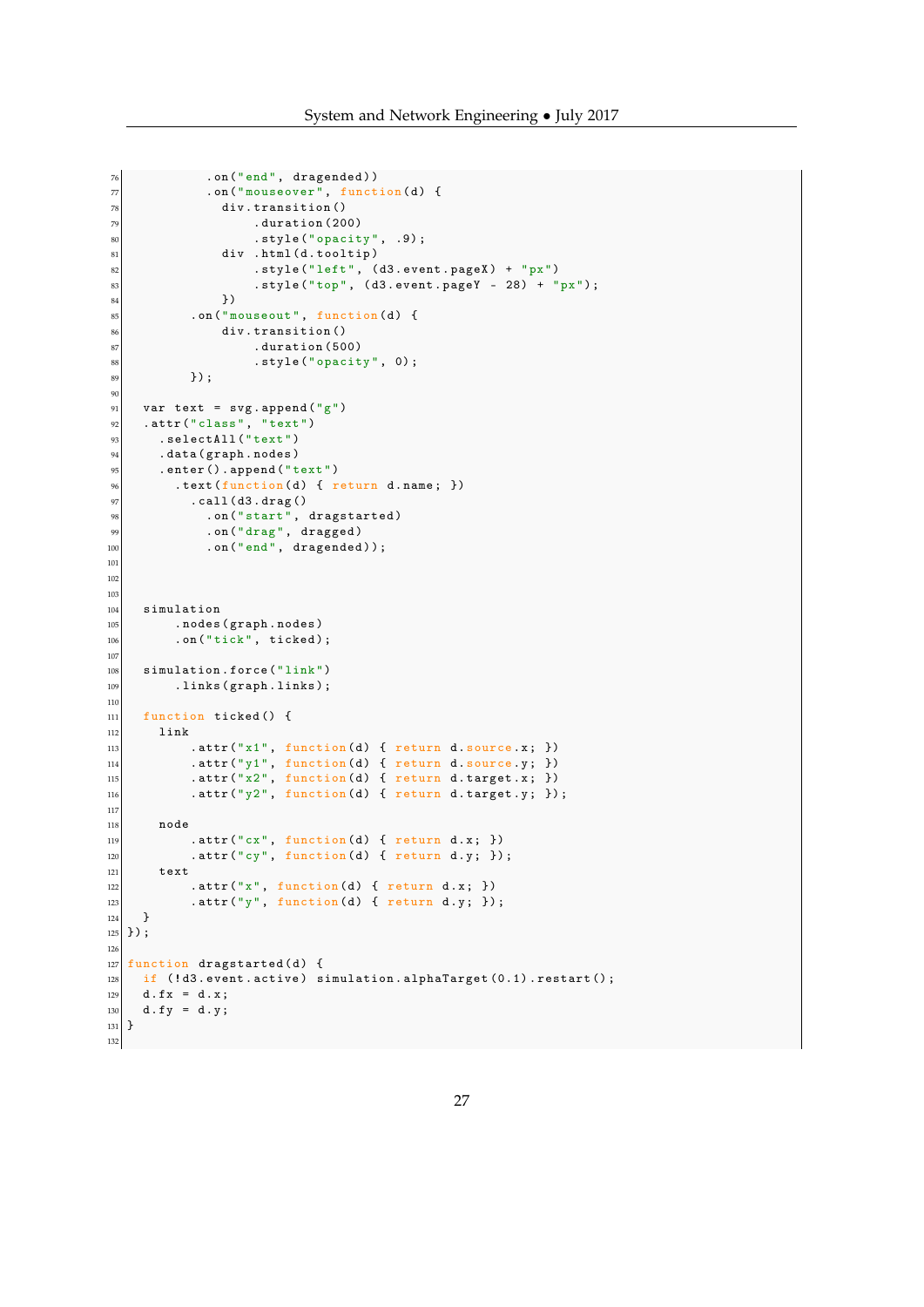```
<sup>76</sup> . on ("end", dragended))<br>
77 . on ("mouseover", functi
               .on ("mouseover", function (d) {
78 div. transition ()
79 . duration (200)
80 . style (" opacity", .9);<br>
81 . style (" opacity", .9);<br>
div .html (d. tooltip)
                 div .html (d. tooltip)
 \begin{array}{ccc} \texttt{key} & \texttt{key} \end{array} . style ("left", (d3.event.pageX) + "px")
 83 . style ("top", (d3.event.pageY - 28) + "px");
\begin{array}{c|c}\n 84 & & \text{ } \\
 \hline\n 85 & & \text{. on } (\text{ }^{\mathsf{H}}\text{m})\n\end{array}85 . on ("mouseout", function (d) {<br>86 div.transition ()
                 div.transition ()
\begin{array}{c|c}\n 87 & . \end{array} . duration (500)
\begin{array}{c} 88 \\ 89 \end{array} . style ("opacity", 0);
            ) ;
90
91 var text = svg. append ("g")
|92| .attr ("class", "text")
93 . selectAll ("text")
94 . data (graph . nodes)
95 .enter ().append ("text")
96 .text (function (d) { return d.name; })
97 . call (d3.drag ()
 98 .on ("start", dragstarted)
 99 .on ("drag", dragged)
_{100}| .on ("end", dragended));
101
102
103
104 simulation
105 . nodes (graph . nodes)
\begin{array}{c|c} \hline 106 \end{array} . on ("tick", ticked);
107
108 simulation . force ("link")
109 . links (graph . links);
110
111 function ticked () {
112 link
113 . attr ("x1", function (d) { return d. source.x; })
114 . attr ("y1", function (d) { return d. source.y; })
_{115} .attr ("x2", function (d) { return d.target.x; })
116 . attr ("y2", function (d) { return d.target.y; });
117
118 node
119 . attr ("cx", function (d) { return d.x; })
120 . attr ("cy", function (d) { return d.y; });
121 text
122 . attr ("x", function (d) { return d.x; })
123 . attr ("y", function (d) { return d.y; });
124 }
125 });
126
_{127} function dragstarted (d) {
128 if (|d3.\text{event}.\text{active}) simulation.alphaTarget(0.1). restart();
129 d. fx = d. x;
130 d.fy = d.y;
131 \ \}132
```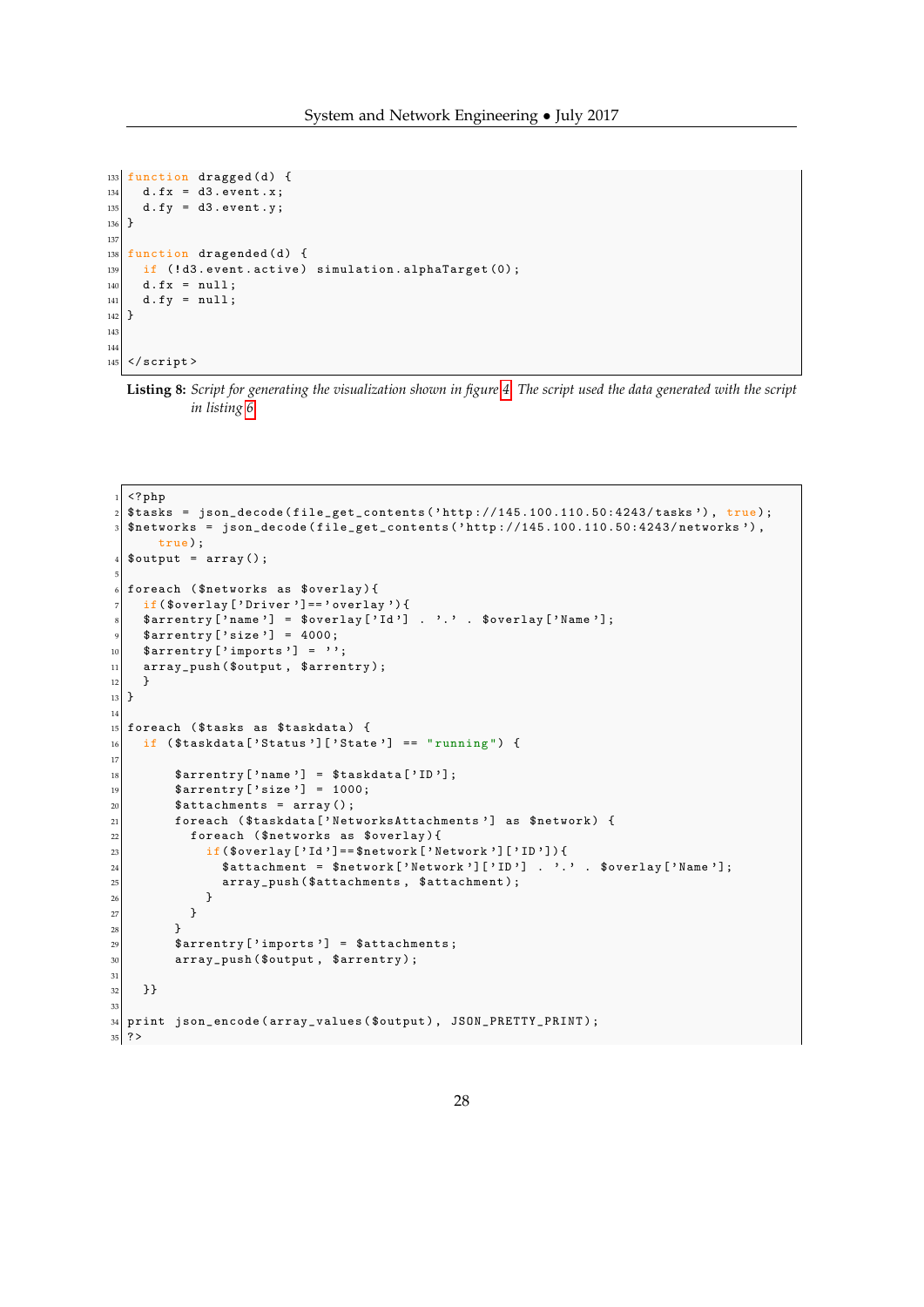```
133 function dragged (d) {
134 d. fx = d3. event.x;
135 d. fy = d3. event. y;
136}
137
_{138} function dragended (d) {
\frac{139}{139} if (!d3.event.active) simulation.alphaTarget (0);
_{140} d. fx = null;
|141| d. fy = null;
142 }
143
144
145 \mid \langle / \text{script} \rangle
```

```
Listing 8: Script for generating the visualization shown in figure 4. The script used the data generated with the script
           in listing 6
```

```
\langle ? \, \text{php}2 $tasks = json_decode ( file_get_contents (' http ://145.100.110.50:4243/ tasks ') , true );
  $networks = json\_decode (file\_get\_contents('http://145.100.110.50:4243/networks'),true);
  $output = array();
 5
  foreach ($networks as $overlay){
     if($overlay ['Driver'] == ' overlay') {
     $arrentry ['name'] = $overlay ['Id'] . '.' . $overlay ['Name'];
     $array['size'] = 4000;10 \left| \quad \text{Sarrow} \right| ' imports'] = '';
11 array_push ($output, $arrentry);
12 }
_{13} }
14
15 foreach ($tasks as $taskdata) {
16 if (\text{staskdata}['Status']['State'] == "running") {
17
\begin{bmatrix} 18 \\ 18 \end{bmatrix} $arrentry ['name'] = $taskdata ['ID'];
\overline{\text{sqrt}} $arrentry ['size'] = 1000;
20 \vert $attachments = array ();
21 foreach ($taskdata ['NetworksAttachments'] as $network) {
22 foreach ($networks as $overlay){
23 if (\text{seval}[\text{val}] = \text{seval}[\text{val}] = \text{seval}[\text{val}]24 \overline{\text{3}} $attachment = $network ['Network'] ['ID'] . '.' . $overlay ['Name'];
\begin{array}{c|c} 25 & \text{array\_push (\$attachments , \$attachment );} \end{array}26 }
27 }
28 }
\mathbb{R}^2 \left\{\text{array}\right\} \left\{\text{array}\right\} \left\{\text{subintports}\right\} \mathbb{R} \left\{\text{subintports}\right\} \left\{\text{subintports}\right\}30 array_push ($output, $arrentry);
31
32 }}
33
34 print json_encode (array_values ($output), JSON_PRETTY_PRINT);
35 \mid ?>
```